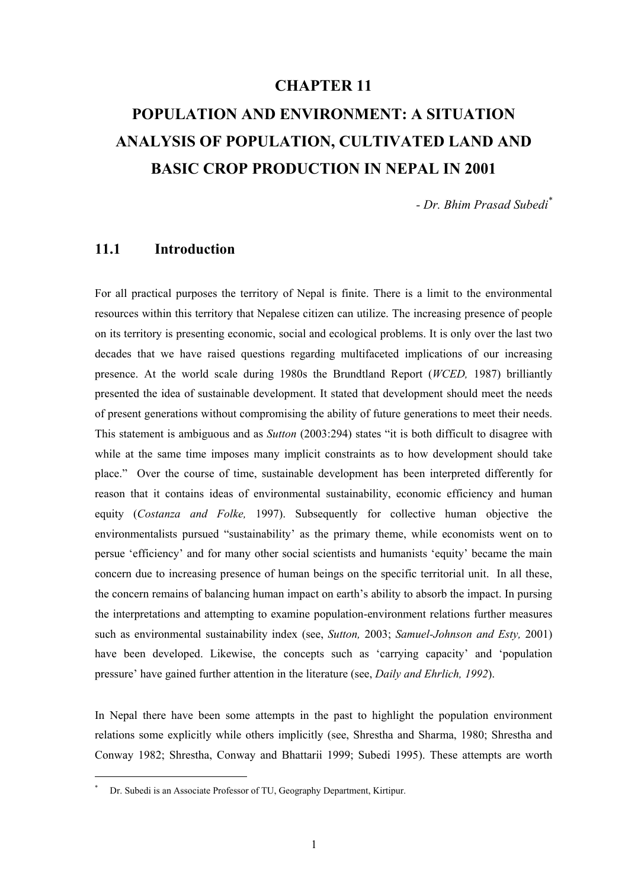# **CHAPTER 11**

# **POPULATION AND ENVIRONMENT: A SITUATION ANALYSIS OF POPULATION, CULTIVATED LAND AND BASIC CROP PRODUCTION IN NEPAL IN 2001**

*- Dr. Bhim Prasad Subedi\**

# **11.1 Introduction**

For all practical purposes the territory of Nepal is finite. There is a limit to the environmental resources within this territory that Nepalese citizen can utilize. The increasing presence of people on its territory is presenting economic, social and ecological problems. It is only over the last two decades that we have raised questions regarding multifaceted implications of our increasing presence. At the world scale during 1980s the Brundtland Report (*WCED,* 1987) brilliantly presented the idea of sustainable development. It stated that development should meet the needs of present generations without compromising the ability of future generations to meet their needs. This statement is ambiguous and as *Sutton* (2003:294) states "it is both difficult to disagree with while at the same time imposes many implicit constraints as to how development should take place." Over the course of time, sustainable development has been interpreted differently for reason that it contains ideas of environmental sustainability, economic efficiency and human equity (*Costanza and Folke,* 1997). Subsequently for collective human objective the environmentalists pursued "sustainability' as the primary theme, while economists went on to persue 'efficiency' and for many other social scientists and humanists 'equity' became the main concern due to increasing presence of human beings on the specific territorial unit. In all these, the concern remains of balancing human impact on earth's ability to absorb the impact. In pursing the interpretations and attempting to examine population-environment relations further measures such as environmental sustainability index (see, *Sutton,* 2003; *Samuel-Johnson and Esty,* 2001) have been developed. Likewise, the concepts such as 'carrying capacity' and 'population pressure' have gained further attention in the literature (see, *Daily and Ehrlich, 1992*).

In Nepal there have been some attempts in the past to highlight the population environment relations some explicitly while others implicitly (see, Shrestha and Sharma, 1980; Shrestha and Conway 1982; Shrestha, Conway and Bhattarii 1999; Subedi 1995). These attempts are worth

l

<sup>\*</sup> Dr. Subedi is an Associate Professor of TU, Geography Department, Kirtipur.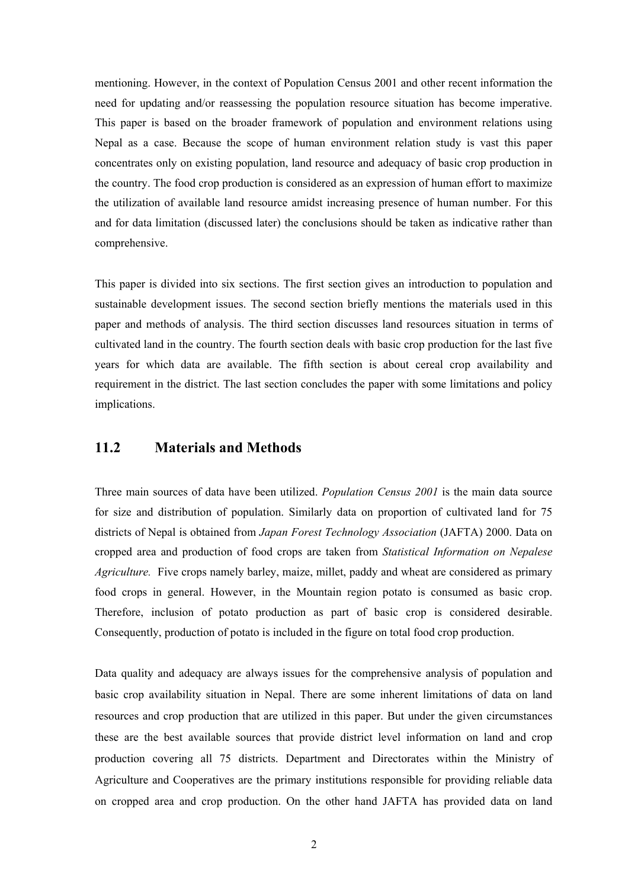mentioning. However, in the context of Population Census 2001 and other recent information the need for updating and/or reassessing the population resource situation has become imperative. This paper is based on the broader framework of population and environment relations using Nepal as a case. Because the scope of human environment relation study is vast this paper concentrates only on existing population, land resource and adequacy of basic crop production in the country. The food crop production is considered as an expression of human effort to maximize the utilization of available land resource amidst increasing presence of human number. For this and for data limitation (discussed later) the conclusions should be taken as indicative rather than comprehensive.

This paper is divided into six sections. The first section gives an introduction to population and sustainable development issues. The second section briefly mentions the materials used in this paper and methods of analysis. The third section discusses land resources situation in terms of cultivated land in the country. The fourth section deals with basic crop production for the last five years for which data are available. The fifth section is about cereal crop availability and requirement in the district. The last section concludes the paper with some limitations and policy implications.

# **11.2 Materials and Methods**

Three main sources of data have been utilized. *Population Census 2001* is the main data source for size and distribution of population. Similarly data on proportion of cultivated land for 75 districts of Nepal is obtained from *Japan Forest Technology Association* (JAFTA) 2000. Data on cropped area and production of food crops are taken from *Statistical Information on Nepalese Agriculture.* Five crops namely barley, maize, millet, paddy and wheat are considered as primary food crops in general. However, in the Mountain region potato is consumed as basic crop. Therefore, inclusion of potato production as part of basic crop is considered desirable. Consequently, production of potato is included in the figure on total food crop production.

Data quality and adequacy are always issues for the comprehensive analysis of population and basic crop availability situation in Nepal. There are some inherent limitations of data on land resources and crop production that are utilized in this paper. But under the given circumstances these are the best available sources that provide district level information on land and crop production covering all 75 districts. Department and Directorates within the Ministry of Agriculture and Cooperatives are the primary institutions responsible for providing reliable data on cropped area and crop production. On the other hand JAFTA has provided data on land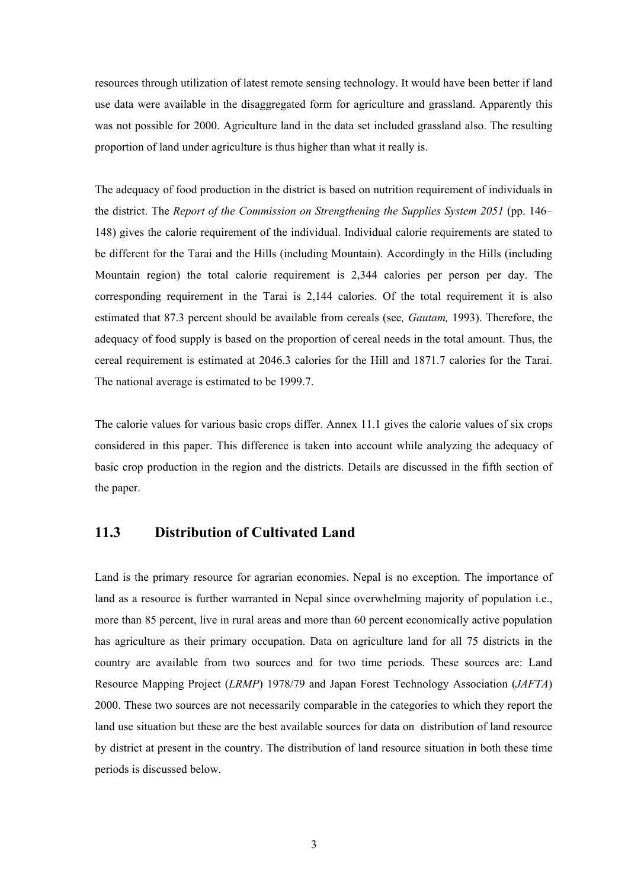resources through utilization of latest remote sensing technology. It would have been better if land use data were available in the disaggregated form for agriculture and grassland. Apparently this was not possible for 2000. Agriculture land in the data set included grassland also. The resulting proportion of land under agriculture is thus higher than what it really is.

The adequacy of food production in the district is based on nutrition requirement of individuals in the district. The *Report of the Commission on Strengthening the Supplies System 2051* (pp. 146– 148) gives the calorie requirement of the individual. Individual calorie requirements are stated to be different for the Tarai and the Hills (including Mountain). Accordingly in the Hills (including Mountain region) the total calorie requirement is 2,344 calories per person per day. The corresponding requirement in the Tarai is 2,144 calories. Of the total requirement it is also estimated that 87.3 percent should be available from cereals (see*, Gautam,* 1993). Therefore, the adequacy of food supply is based on the proportion of cereal needs in the total amount. Thus, the cereal requirement is estimated at 2046.3 calories for the Hill and 1871.7 calories for the Tarai. The national average is estimated to be 1999.7.

The calorie values for various basic crops differ. Annex 11.1 gives the calorie values of six crops considered in this paper. This difference is taken into account while analyzing the adequacy of basic crop production in the region and the districts. Details are discussed in the fifth section of the paper.

# **11.3 Distribution of Cultivated Land**

Land is the primary resource for agrarian economies. Nepal is no exception. The importance of land as a resource is further warranted in Nepal since overwhelming majority of population i.e., more than 85 percent, live in rural areas and more than 60 percent economically active population has agriculture as their primary occupation. Data on agriculture land for all 75 districts in the country are available from two sources and for two time periods. These sources are: Land Resource Mapping Project (*LRMP*) 1978/79 and Japan Forest Technology Association (*JAFTA*) 2000. These two sources are not necessarily comparable in the categories to which they report the land use situation but these are the best available sources for data on distribution of land resource by district at present in the country. The distribution of land resource situation in both these time periods is discussed below.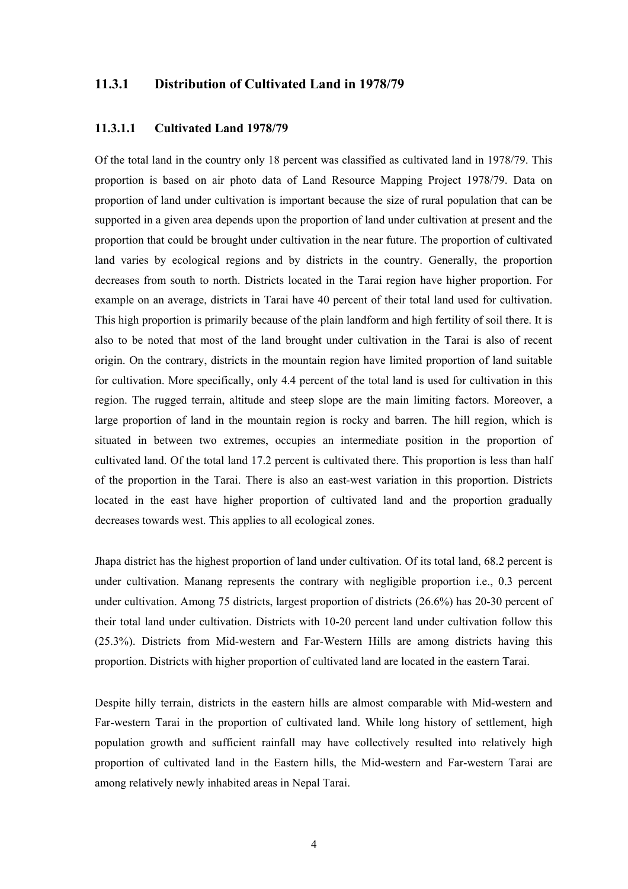## **11.3.1 Distribution of Cultivated Land in 1978/79**

#### **11.3.1.1 Cultivated Land 1978/79**

Of the total land in the country only 18 percent was classified as cultivated land in 1978/79. This proportion is based on air photo data of Land Resource Mapping Project 1978/79. Data on proportion of land under cultivation is important because the size of rural population that can be supported in a given area depends upon the proportion of land under cultivation at present and the proportion that could be brought under cultivation in the near future. The proportion of cultivated land varies by ecological regions and by districts in the country. Generally, the proportion decreases from south to north. Districts located in the Tarai region have higher proportion. For example on an average, districts in Tarai have 40 percent of their total land used for cultivation. This high proportion is primarily because of the plain landform and high fertility of soil there. It is also to be noted that most of the land brought under cultivation in the Tarai is also of recent origin. On the contrary, districts in the mountain region have limited proportion of land suitable for cultivation. More specifically, only 4.4 percent of the total land is used for cultivation in this region. The rugged terrain, altitude and steep slope are the main limiting factors. Moreover, a large proportion of land in the mountain region is rocky and barren. The hill region, which is situated in between two extremes, occupies an intermediate position in the proportion of cultivated land. Of the total land 17.2 percent is cultivated there. This proportion is less than half of the proportion in the Tarai. There is also an east-west variation in this proportion. Districts located in the east have higher proportion of cultivated land and the proportion gradually decreases towards west. This applies to all ecological zones.

Jhapa district has the highest proportion of land under cultivation. Of its total land, 68.2 percent is under cultivation. Manang represents the contrary with negligible proportion i.e., 0.3 percent under cultivation. Among 75 districts, largest proportion of districts (26.6%) has 20-30 percent of their total land under cultivation. Districts with 10-20 percent land under cultivation follow this (25.3%). Districts from Mid-western and Far-Western Hills are among districts having this proportion. Districts with higher proportion of cultivated land are located in the eastern Tarai.

Despite hilly terrain, districts in the eastern hills are almost comparable with Mid-western and Far-western Tarai in the proportion of cultivated land. While long history of settlement, high population growth and sufficient rainfall may have collectively resulted into relatively high proportion of cultivated land in the Eastern hills, the Mid-western and Far-western Tarai are among relatively newly inhabited areas in Nepal Tarai.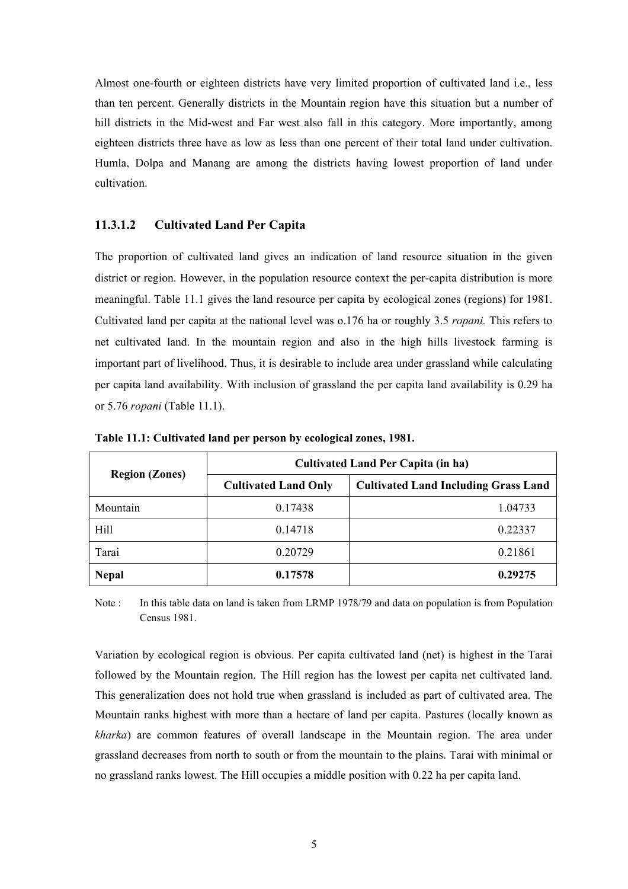Almost one-fourth or eighteen districts have very limited proportion of cultivated land i.e., less than ten percent. Generally districts in the Mountain region have this situation but a number of hill districts in the Mid-west and Far west also fall in this category. More importantly, among eighteen districts three have as low as less than one percent of their total land under cultivation. Humla, Dolpa and Manang are among the districts having lowest proportion of land under cultivation.

#### **11.3.1.2 Cultivated Land Per Capita**

The proportion of cultivated land gives an indication of land resource situation in the given district or region. However, in the population resource context the per-capita distribution is more meaningful. Table 11.1 gives the land resource per capita by ecological zones (regions) for 1981. Cultivated land per capita at the national level was o.176 ha or roughly 3.5 *ropani.* This refers to net cultivated land. In the mountain region and also in the high hills livestock farming is important part of livelihood. Thus, it is desirable to include area under grassland while calculating per capita land availability. With inclusion of grassland the per capita land availability is 0.29 ha or 5.76 *ropani* (Table 11.1).

|                       | <b>Cultivated Land Per Capita (in ha)</b> |                                             |  |  |  |
|-----------------------|-------------------------------------------|---------------------------------------------|--|--|--|
| <b>Region (Zones)</b> | <b>Cultivated Land Only</b>               | <b>Cultivated Land Including Grass Land</b> |  |  |  |
| Mountain              | 0.17438                                   | 1.04733                                     |  |  |  |
| Hill                  | 0.14718                                   | 0.22337                                     |  |  |  |
| Tarai                 | 0.20729                                   | 0.21861                                     |  |  |  |
| <b>Nepal</b>          | 0.17578                                   | 0.29275                                     |  |  |  |

**Table 11.1: Cultivated land per person by ecological zones, 1981.** 

Note : In this table data on land is taken from LRMP 1978/79 and data on population is from Population Census 1981.

Variation by ecological region is obvious. Per capita cultivated land (net) is highest in the Tarai followed by the Mountain region. The Hill region has the lowest per capita net cultivated land. This generalization does not hold true when grassland is included as part of cultivated area. The Mountain ranks highest with more than a hectare of land per capita. Pastures (locally known as *kharka*) are common features of overall landscape in the Mountain region. The area under grassland decreases from north to south or from the mountain to the plains. Tarai with minimal or no grassland ranks lowest. The Hill occupies a middle position with 0.22 ha per capita land.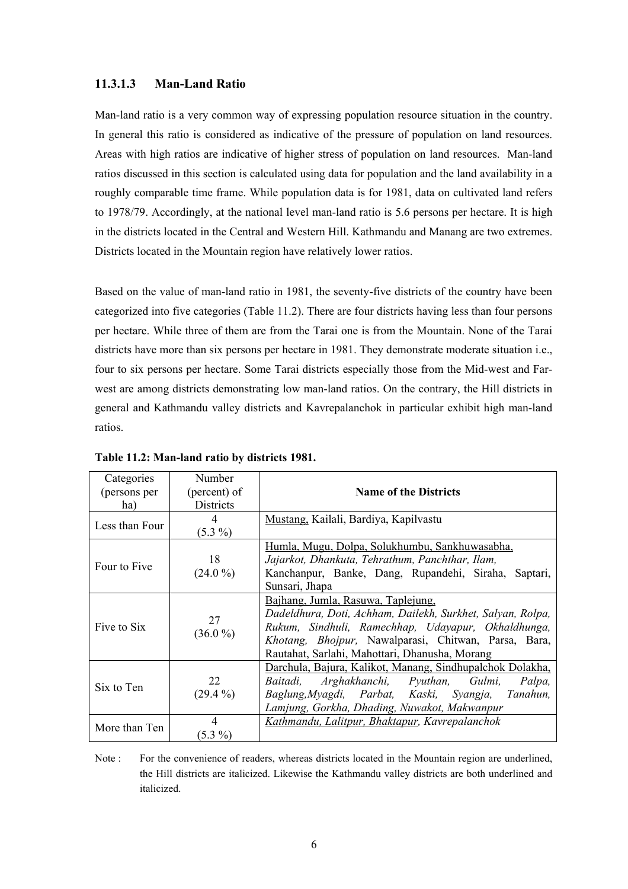#### **11.3.1.3 Man-Land Ratio**

Man-land ratio is a very common way of expressing population resource situation in the country. In general this ratio is considered as indicative of the pressure of population on land resources. Areas with high ratios are indicative of higher stress of population on land resources. Man-land ratios discussed in this section is calculated using data for population and the land availability in a roughly comparable time frame. While population data is for 1981, data on cultivated land refers to 1978/79. Accordingly, at the national level man-land ratio is 5.6 persons per hectare. It is high in the districts located in the Central and Western Hill. Kathmandu and Manang are two extremes. Districts located in the Mountain region have relatively lower ratios.

Based on the value of man-land ratio in 1981, the seventy-five districts of the country have been categorized into five categories (Table 11.2). There are four districts having less than four persons per hectare. While three of them are from the Tarai one is from the Mountain. None of the Tarai districts have more than six persons per hectare in 1981. They demonstrate moderate situation i.e., four to six persons per hectare. Some Tarai districts especially those from the Mid-west and Farwest are among districts demonstrating low man-land ratios. On the contrary, the Hill districts in general and Kathmandu valley districts and Kavrepalanchok in particular exhibit high man-land ratios.

| Categories<br>(persons per<br>ha) | Number<br>(percent) of<br>Districts | <b>Name of the Districts</b>                                                                                                                                                                                                                                     |  |  |  |  |
|-----------------------------------|-------------------------------------|------------------------------------------------------------------------------------------------------------------------------------------------------------------------------------------------------------------------------------------------------------------|--|--|--|--|
| Less than Four                    | 4<br>$(5.3\%)$                      | Mustang, Kailali, Bardiya, Kapilyastu                                                                                                                                                                                                                            |  |  |  |  |
| Four to Five                      | 18<br>$(24.0\%)$                    | Humla, Mugu, Dolpa, Solukhumbu, Sankhuwasabha,<br>Jajarkot, Dhankuta, Tehrathum, Panchthar, Ilam,<br>Kanchanpur, Banke, Dang, Rupandehi, Siraha, Saptari,<br>Sunsari, Jhapa                                                                                      |  |  |  |  |
| Five to Six                       | 27<br>$(36.0\%)$                    | Bajhang, Jumla, Rasuwa, Taplejung,<br>Dadeldhura, Doti, Achham, Dailekh, Surkhet, Salyan, Rolpa,<br>Rukum, Sindhuli, Ramechhap, Udayapur, Okhaldhunga,<br>Khotang, Bhojpur, Nawalparasi, Chitwan, Parsa, Bara,<br>Rautahat, Sarlahi, Mahottari, Dhanusha, Morang |  |  |  |  |
| Six to Ten                        | 22<br>$(29.4\%)$                    | Darchula, Bajura, Kalikot, Manang, Sindhupalchok Dolakha,<br>Baitadi, Arghakhanchi, Pyuthan, Gulmi,<br>Palpa,<br>Baglung, Myagdi, Parbat, Kaski, Syangja, Tanahun,<br>Lamjung, Gorkha, Dhading, Nuwakot, Makwanpur                                               |  |  |  |  |
| More than Ten                     | 4<br>$(5.3\%)$                      | Kathmandu, Lalitpur, Bhaktapur, Kavrepalanchok                                                                                                                                                                                                                   |  |  |  |  |

**Table 11.2: Man-land ratio by districts 1981.** 

Note : For the convenience of readers, whereas districts located in the Mountain region are underlined, the Hill districts are italicized. Likewise the Kathmandu valley districts are both underlined and italicized.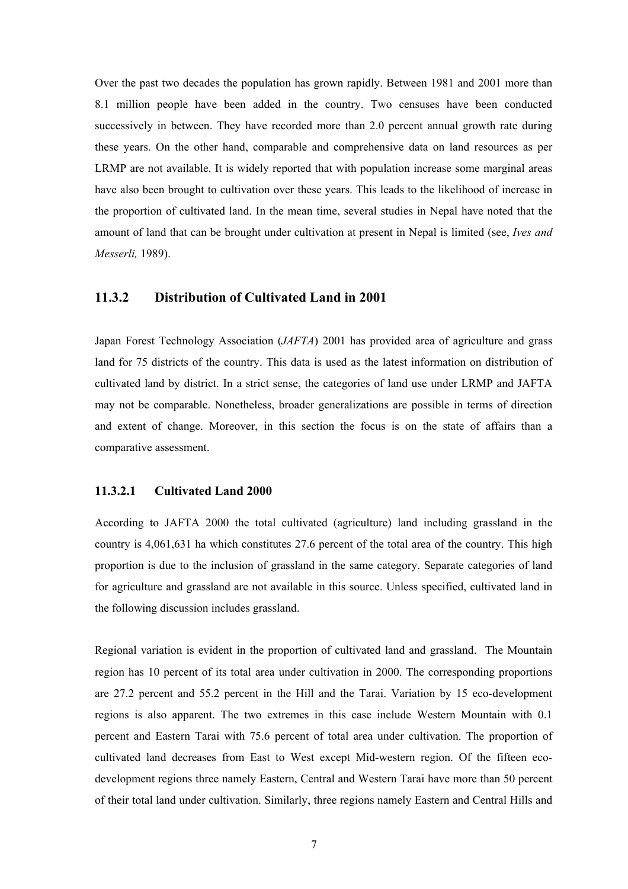Over the past two decades the population has grown rapidly. Between 1981 and 2001 more than 8.1 million people have been added in the country. Two censuses have been conducted successively in between. They have recorded more than 2.0 percent annual growth rate during these years. On the other hand, comparable and comprehensive data on land resources as per LRMP are not available. It is widely reported that with population increase some marginal areas have also been brought to cultivation over these years. This leads to the likelihood of increase in the proportion of cultivated land. In the mean time, several studies in Nepal have noted that the amount of land that can be brought under cultivation at present in Nepal is limited (see, *Ives and Messerli,* 1989).

## **11.3.2 Distribution of Cultivated Land in 2001**

Japan Forest Technology Association (*JAFTA*) 2001 has provided area of agriculture and grass land for 75 districts of the country. This data is used as the latest information on distribution of cultivated land by district. In a strict sense, the categories of land use under LRMP and JAFTA may not be comparable. Nonetheless, broader generalizations are possible in terms of direction and extent of change. Moreover, in this section the focus is on the state of affairs than a comparative assessment.

## **11.3.2.1 Cultivated Land 2000**

According to JAFTA 2000 the total cultivated (agriculture) land including grassland in the country is 4,061,631 ha which constitutes 27.6 percent of the total area of the country. This high proportion is due to the inclusion of grassland in the same category. Separate categories of land for agriculture and grassland are not available in this source. Unless specified, cultivated land in the following discussion includes grassland.

Regional variation is evident in the proportion of cultivated land and grassland. The Mountain region has 10 percent of its total area under cultivation in 2000. The corresponding proportions are 27.2 percent and 55.2 percent in the Hill and the Tarai. Variation by 15 eco-development regions is also apparent. The two extremes in this case include Western Mountain with 0.1 percent and Eastern Tarai with 75.6 percent of total area under cultivation. The proportion of cultivated land decreases from East to West except Mid-western region. Of the fifteen ecodevelopment regions three namely Eastern, Central and Western Tarai have more than 50 percent of their total land under cultivation. Similarly, three regions namely Eastern and Central Hills and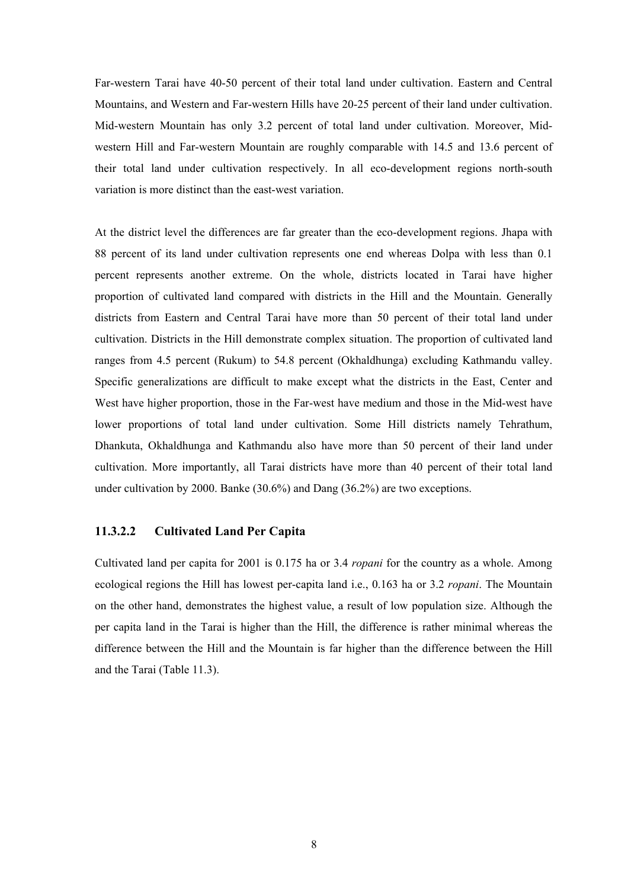Far-western Tarai have 40-50 percent of their total land under cultivation. Eastern and Central Mountains, and Western and Far-western Hills have 20-25 percent of their land under cultivation. Mid-western Mountain has only 3.2 percent of total land under cultivation. Moreover, Midwestern Hill and Far-western Mountain are roughly comparable with 14.5 and 13.6 percent of their total land under cultivation respectively. In all eco-development regions north-south variation is more distinct than the east-west variation.

At the district level the differences are far greater than the eco-development regions. Jhapa with 88 percent of its land under cultivation represents one end whereas Dolpa with less than 0.1 percent represents another extreme. On the whole, districts located in Tarai have higher proportion of cultivated land compared with districts in the Hill and the Mountain. Generally districts from Eastern and Central Tarai have more than 50 percent of their total land under cultivation. Districts in the Hill demonstrate complex situation. The proportion of cultivated land ranges from 4.5 percent (Rukum) to 54.8 percent (Okhaldhunga) excluding Kathmandu valley. Specific generalizations are difficult to make except what the districts in the East, Center and West have higher proportion, those in the Far-west have medium and those in the Mid-west have lower proportions of total land under cultivation. Some Hill districts namely Tehrathum, Dhankuta, Okhaldhunga and Kathmandu also have more than 50 percent of their land under cultivation. More importantly, all Tarai districts have more than 40 percent of their total land under cultivation by 2000. Banke (30.6%) and Dang (36.2%) are two exceptions.

#### **11.3.2.2 Cultivated Land Per Capita**

Cultivated land per capita for 2001 is 0.175 ha or 3.4 *ropani* for the country as a whole. Among ecological regions the Hill has lowest per-capita land i.e., 0.163 ha or 3.2 *ropani*. The Mountain on the other hand, demonstrates the highest value, a result of low population size. Although the per capita land in the Tarai is higher than the Hill, the difference is rather minimal whereas the difference between the Hill and the Mountain is far higher than the difference between the Hill and the Tarai (Table 11.3).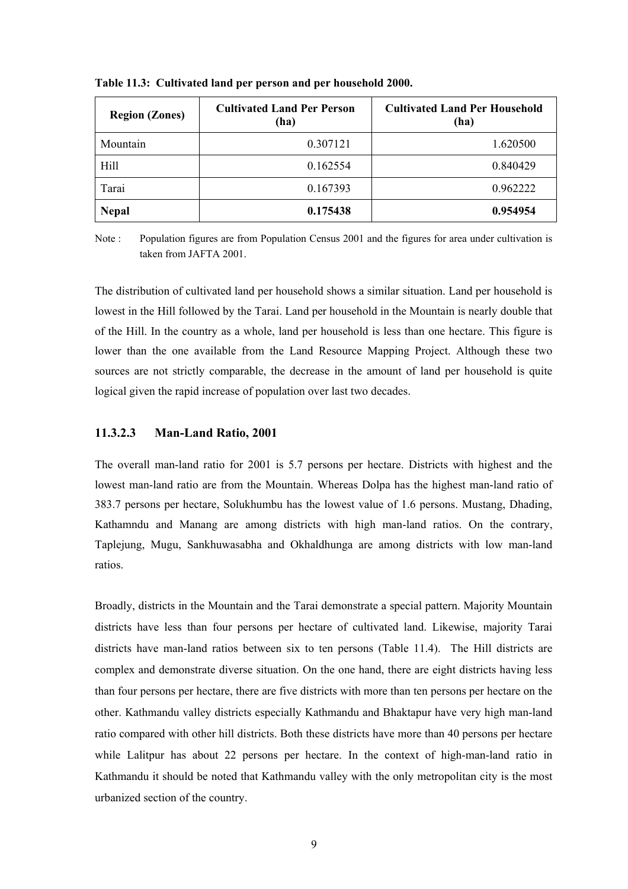| <b>Region (Zones)</b> | <b>Cultivated Land Per Person</b><br>(ha) | <b>Cultivated Land Per Household</b><br>(ha) |
|-----------------------|-------------------------------------------|----------------------------------------------|
| Mountain              | 0.307121                                  | 1.620500                                     |
| Hill                  | 0.162554                                  | 0.840429                                     |
| Tarai                 | 0.167393                                  | 0.962222                                     |
| <b>Nepal</b>          | 0.175438                                  | 0.954954                                     |

**Table 11.3: Cultivated land per person and per household 2000.** 

Note : Population figures are from Population Census 2001 and the figures for area under cultivation is taken from JAFTA 2001.

The distribution of cultivated land per household shows a similar situation. Land per household is lowest in the Hill followed by the Tarai. Land per household in the Mountain is nearly double that of the Hill. In the country as a whole, land per household is less than one hectare. This figure is lower than the one available from the Land Resource Mapping Project. Although these two sources are not strictly comparable, the decrease in the amount of land per household is quite logical given the rapid increase of population over last two decades.

#### **11.3.2.3 Man-Land Ratio, 2001**

The overall man-land ratio for 2001 is 5.7 persons per hectare. Districts with highest and the lowest man-land ratio are from the Mountain. Whereas Dolpa has the highest man-land ratio of 383.7 persons per hectare, Solukhumbu has the lowest value of 1.6 persons. Mustang, Dhading, Kathamndu and Manang are among districts with high man-land ratios. On the contrary, Taplejung, Mugu, Sankhuwasabha and Okhaldhunga are among districts with low man-land ratios.

Broadly, districts in the Mountain and the Tarai demonstrate a special pattern. Majority Mountain districts have less than four persons per hectare of cultivated land. Likewise, majority Tarai districts have man-land ratios between six to ten persons (Table 11.4). The Hill districts are complex and demonstrate diverse situation. On the one hand, there are eight districts having less than four persons per hectare, there are five districts with more than ten persons per hectare on the other. Kathmandu valley districts especially Kathmandu and Bhaktapur have very high man-land ratio compared with other hill districts. Both these districts have more than 40 persons per hectare while Lalitpur has about 22 persons per hectare. In the context of high-man-land ratio in Kathmandu it should be noted that Kathmandu valley with the only metropolitan city is the most urbanized section of the country.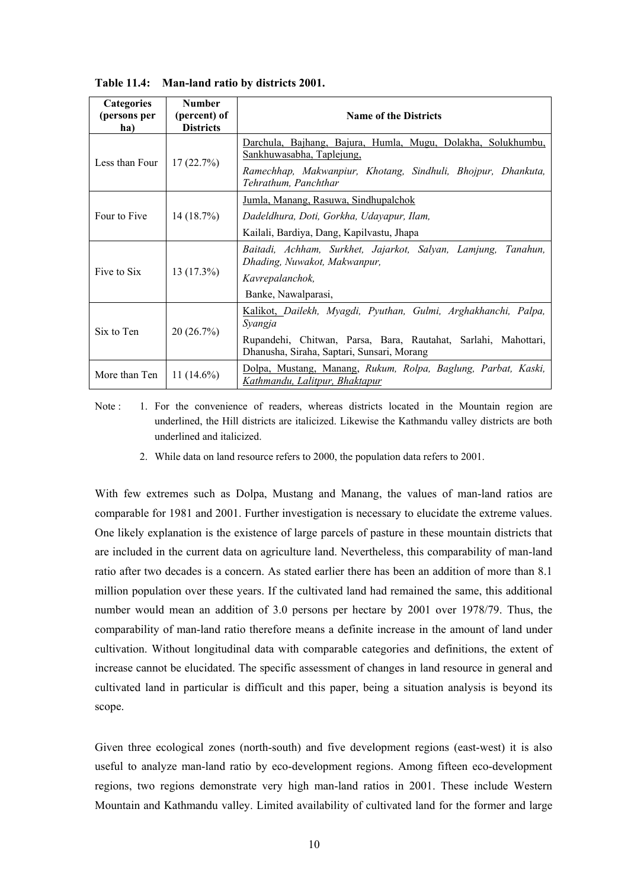| <b>Categories</b><br>(persons per<br>ha) | <b>Number</b><br>(percent) of<br><b>Districts</b> | <b>Name of the Districts</b>                                                                                   |  |  |  |
|------------------------------------------|---------------------------------------------------|----------------------------------------------------------------------------------------------------------------|--|--|--|
|                                          |                                                   | Darchula, Bajhang, Bajura, Humla, Mugu, Dolakha, Solukhumbu,<br>Sankhuwasabha, Taplejung,                      |  |  |  |
| Less than Four                           | 17(22.7%)                                         | Ramechhap, Makwanpiur, Khotang, Sindhuli, Bhojpur, Dhankuta,<br>Tehrathum, Panchthar                           |  |  |  |
|                                          |                                                   | Jumla, Manang, Rasuwa, Sindhupalchok                                                                           |  |  |  |
| Four to Five                             | 14(18.7%)                                         | Dadeldhura, Doti, Gorkha, Udayapur, Ilam,                                                                      |  |  |  |
|                                          |                                                   | Kailali, Bardiya, Dang, Kapilyastu, Jhapa                                                                      |  |  |  |
|                                          | $13(17.3\%)$                                      | Baitadi, Achham, Surkhet, Jajarkot, Salyan, Lamjung,<br>Tanahun.<br>Dhading, Nuwakot, Makwanpur,               |  |  |  |
| Five to Six                              |                                                   | Kavrepalanchok,                                                                                                |  |  |  |
|                                          |                                                   | Banke, Nawalparasi,                                                                                            |  |  |  |
| Six to Ten                               | 20(26.7%)                                         | Kalikot, Dailekh, Myagdi, Pyuthan, Gulmi, Arghakhanchi, Palpa,<br>Syangja                                      |  |  |  |
|                                          |                                                   | Rupandehi, Chitwan, Parsa, Bara, Rautahat, Sarlahi, Mahottari,<br>Dhanusha, Siraha, Saptari, Sunsari, Morang   |  |  |  |
| More than Ten                            | 11 $(14.6\%)$                                     | <u>Dolpa, Mustang, Manang</u> , <i>Rukum, Rolpa, Baglung, Parbat, Kaski,</i><br>Kathmandu, Lalitpur, Bhaktapur |  |  |  |

**Table 11.4: Man-land ratio by districts 2001.** 

Note : 1. For the convenience of readers, whereas districts located in the Mountain region are underlined, the Hill districts are italicized. Likewise the Kathmandu valley districts are both underlined and italicized.

2. While data on land resource refers to 2000, the population data refers to 2001.

With few extremes such as Dolpa, Mustang and Manang, the values of man-land ratios are comparable for 1981 and 2001. Further investigation is necessary to elucidate the extreme values. One likely explanation is the existence of large parcels of pasture in these mountain districts that are included in the current data on agriculture land. Nevertheless, this comparability of man-land ratio after two decades is a concern. As stated earlier there has been an addition of more than 8.1 million population over these years. If the cultivated land had remained the same, this additional number would mean an addition of 3.0 persons per hectare by 2001 over 1978/79. Thus, the comparability of man-land ratio therefore means a definite increase in the amount of land under cultivation. Without longitudinal data with comparable categories and definitions, the extent of increase cannot be elucidated. The specific assessment of changes in land resource in general and cultivated land in particular is difficult and this paper, being a situation analysis is beyond its scope.

Given three ecological zones (north-south) and five development regions (east-west) it is also useful to analyze man-land ratio by eco-development regions. Among fifteen eco-development regions, two regions demonstrate very high man-land ratios in 2001. These include Western Mountain and Kathmandu valley. Limited availability of cultivated land for the former and large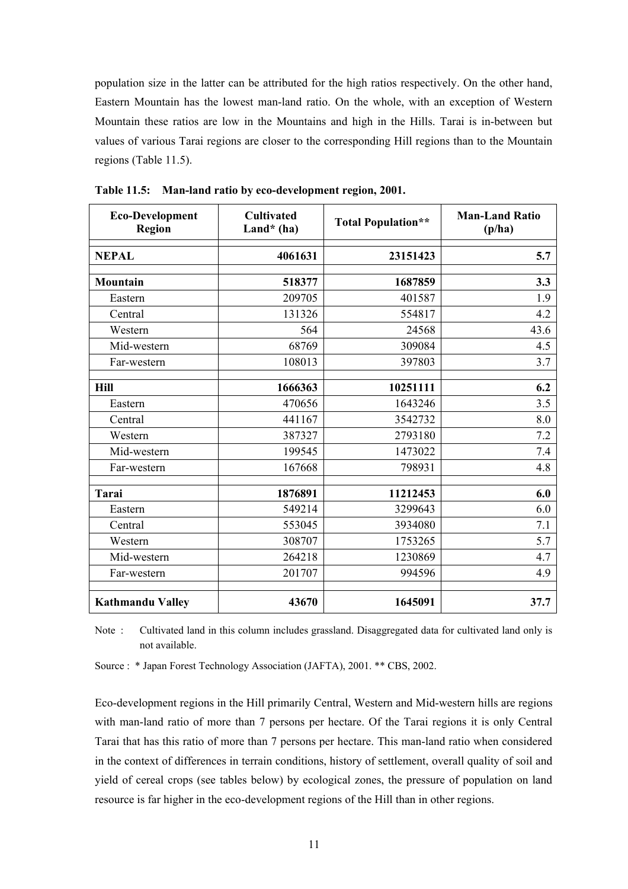population size in the latter can be attributed for the high ratios respectively. On the other hand, Eastern Mountain has the lowest man-land ratio. On the whole, with an exception of Western Mountain these ratios are low in the Mountains and high in the Hills. Tarai is in-between but values of various Tarai regions are closer to the corresponding Hill regions than to the Mountain regions (Table 11.5).

| Eco-Development<br><b>Region</b> | <b>Cultivated</b><br>Land* $(ha)$ | <b>Total Population**</b> | <b>Man-Land Ratio</b><br>(p/ha) |
|----------------------------------|-----------------------------------|---------------------------|---------------------------------|
| <b>NEPAL</b>                     | 4061631                           | 23151423                  | 5.7                             |
| <b>Mountain</b>                  | 518377                            | 1687859                   | 3.3                             |
| Eastern                          | 209705                            | 401587                    | 1.9                             |
| Central                          | 131326                            | 554817                    | 4.2                             |
| Western                          | 564                               | 24568                     | 43.6                            |
| Mid-western                      | 68769                             | 309084                    | 4.5                             |
| Far-western                      | 108013                            | 397803                    | 3.7                             |
| Hill                             | 1666363                           | 10251111                  | 6.2                             |
| Eastern                          | 470656                            | 1643246                   | 3.5                             |
| Central                          | 441167                            | 3542732                   | 8.0                             |
| Western                          | 387327                            | 2793180                   | 7.2                             |
| Mid-western                      | 199545                            | 1473022                   | 7.4                             |
| Far-western                      | 167668                            | 798931                    | 4.8                             |
| <b>Tarai</b>                     | 1876891                           | 11212453                  | 6.0                             |
| Eastern                          | 549214                            | 3299643                   | 6.0                             |
| Central                          | 553045                            | 3934080                   | 7.1                             |
| Western                          | 308707                            | 1753265                   | 5.7                             |
| Mid-western                      | 264218                            | 1230869                   | 4.7                             |
| Far-western                      | 201707                            | 994596                    | 4.9                             |
| <b>Kathmandu Valley</b>          | 43670                             | 1645091                   | 37.7                            |

**Table 11.5: Man-land ratio by eco-development region, 2001.** 

Note : Cultivated land in this column includes grassland. Disaggregated data for cultivated land only is not available.

Source : \* Japan Forest Technology Association (JAFTA), 2001. \*\* CBS, 2002.

Eco-development regions in the Hill primarily Central, Western and Mid-western hills are regions with man-land ratio of more than 7 persons per hectare. Of the Tarai regions it is only Central Tarai that has this ratio of more than 7 persons per hectare. This man-land ratio when considered in the context of differences in terrain conditions, history of settlement, overall quality of soil and yield of cereal crops (see tables below) by ecological zones, the pressure of population on land resource is far higher in the eco-development regions of the Hill than in other regions.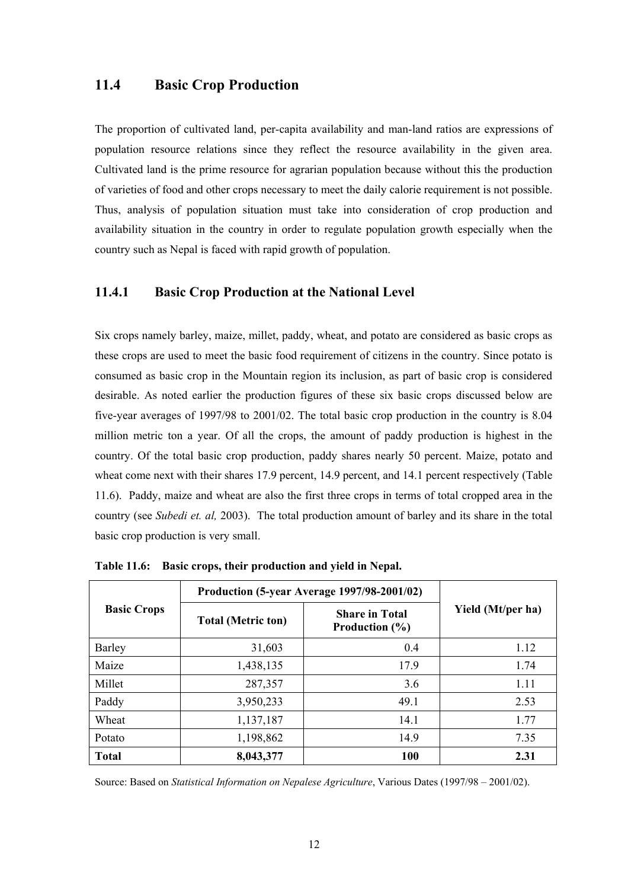# **11.4 Basic Crop Production**

The proportion of cultivated land, per-capita availability and man-land ratios are expressions of population resource relations since they reflect the resource availability in the given area. Cultivated land is the prime resource for agrarian population because without this the production of varieties of food and other crops necessary to meet the daily calorie requirement is not possible. Thus, analysis of population situation must take into consideration of crop production and availability situation in the country in order to regulate population growth especially when the country such as Nepal is faced with rapid growth of population.

## **11.4.1 Basic Crop Production at the National Level**

Six crops namely barley, maize, millet, paddy, wheat, and potato are considered as basic crops as these crops are used to meet the basic food requirement of citizens in the country. Since potato is consumed as basic crop in the Mountain region its inclusion, as part of basic crop is considered desirable. As noted earlier the production figures of these six basic crops discussed below are five-year averages of 1997/98 to 2001/02. The total basic crop production in the country is 8.04 million metric ton a year. Of all the crops, the amount of paddy production is highest in the country. Of the total basic crop production, paddy shares nearly 50 percent. Maize, potato and wheat come next with their shares 17.9 percent, 14.9 percent, and 14.1 percent respectively (Table 11.6). Paddy, maize and wheat are also the first three crops in terms of total cropped area in the country (see *Subedi et. al,* 2003). The total production amount of barley and its share in the total basic crop production is very small.

| <b>Basic Crops</b> | Production (5-year Average 1997/98-2001/02) |                                                   |                   |
|--------------------|---------------------------------------------|---------------------------------------------------|-------------------|
|                    | <b>Total (Metric ton)</b>                   | <b>Share in Total</b><br><b>Production</b> $(\%)$ | Yield (Mt/per ha) |
| Barley             | 31,603                                      | 0.4                                               | 1.12              |
| Maize              | 1,438,135                                   | 17.9                                              | 1.74              |
| Millet             | 287,357                                     | 3.6                                               | 1.11              |
| Paddy              | 3,950,233                                   | 49.1                                              | 2.53              |
| Wheat              | 1,137,187                                   | 14.1                                              | 1.77              |
| Potato             | 1,198,862                                   | 14.9                                              | 7.35              |
| <b>Total</b>       | 8,043,377                                   | 100                                               | 2.31              |

**Table 11.6: Basic crops, their production and yield in Nepal.** 

Source: Based on *Statistical Information on Nepalese Agriculture*, Various Dates (1997/98 – 2001/02).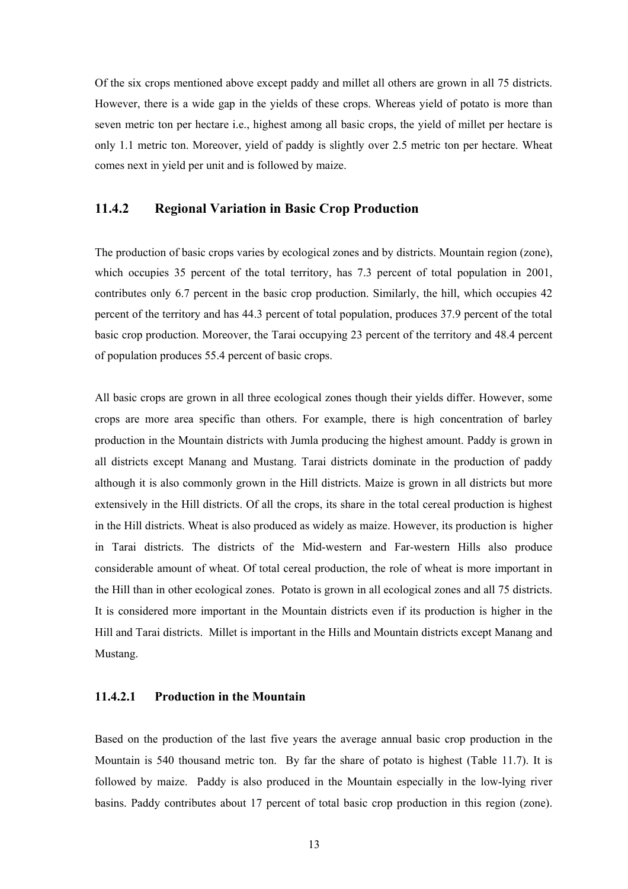Of the six crops mentioned above except paddy and millet all others are grown in all 75 districts. However, there is a wide gap in the yields of these crops. Whereas yield of potato is more than seven metric ton per hectare i.e., highest among all basic crops, the yield of millet per hectare is only 1.1 metric ton. Moreover, yield of paddy is slightly over 2.5 metric ton per hectare. Wheat comes next in yield per unit and is followed by maize.

## **11.4.2 Regional Variation in Basic Crop Production**

The production of basic crops varies by ecological zones and by districts. Mountain region (zone), which occupies 35 percent of the total territory, has 7.3 percent of total population in 2001, contributes only 6.7 percent in the basic crop production. Similarly, the hill, which occupies 42 percent of the territory and has 44.3 percent of total population, produces 37.9 percent of the total basic crop production. Moreover, the Tarai occupying 23 percent of the territory and 48.4 percent of population produces 55.4 percent of basic crops.

All basic crops are grown in all three ecological zones though their yields differ. However, some crops are more area specific than others. For example, there is high concentration of barley production in the Mountain districts with Jumla producing the highest amount. Paddy is grown in all districts except Manang and Mustang. Tarai districts dominate in the production of paddy although it is also commonly grown in the Hill districts. Maize is grown in all districts but more extensively in the Hill districts. Of all the crops, its share in the total cereal production is highest in the Hill districts. Wheat is also produced as widely as maize. However, its production is higher in Tarai districts. The districts of the Mid-western and Far-western Hills also produce considerable amount of wheat. Of total cereal production, the role of wheat is more important in the Hill than in other ecological zones. Potato is grown in all ecological zones and all 75 districts. It is considered more important in the Mountain districts even if its production is higher in the Hill and Tarai districts. Millet is important in the Hills and Mountain districts except Manang and Mustang.

## **11.4.2.1 Production in the Mountain**

Based on the production of the last five years the average annual basic crop production in the Mountain is 540 thousand metric ton. By far the share of potato is highest (Table 11.7). It is followed by maize. Paddy is also produced in the Mountain especially in the low-lying river basins. Paddy contributes about 17 percent of total basic crop production in this region (zone).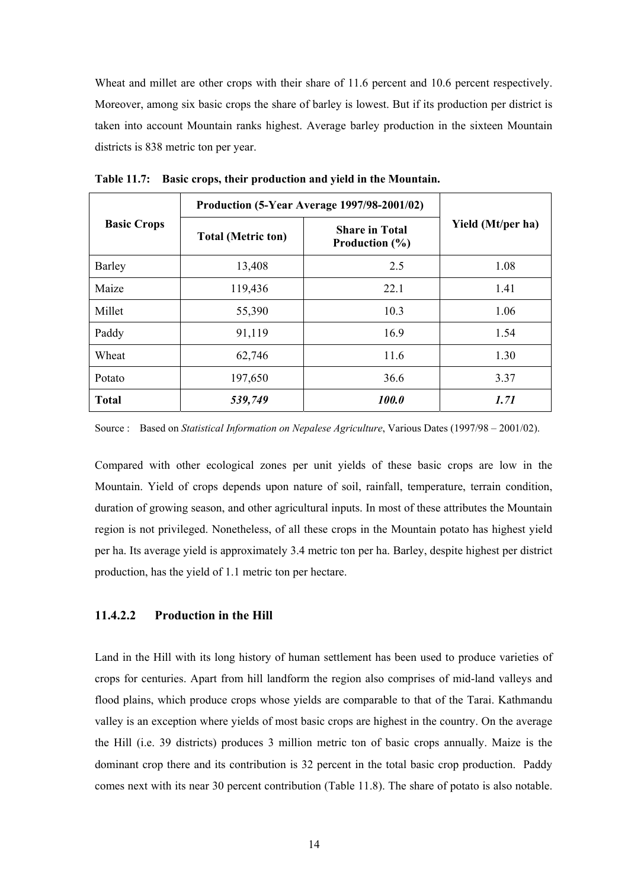Wheat and millet are other crops with their share of 11.6 percent and 10.6 percent respectively. Moreover, among six basic crops the share of barley is lowest. But if its production per district is taken into account Mountain ranks highest. Average barley production in the sixteen Mountain districts is 838 metric ton per year.

|                    | <b>Production (5-Year Average 1997/98-2001/02)</b> |                                                   |                   |  |
|--------------------|----------------------------------------------------|---------------------------------------------------|-------------------|--|
| <b>Basic Crops</b> | <b>Total (Metric ton)</b>                          | <b>Share in Total</b><br><b>Production</b> $(\%)$ | Yield (Mt/per ha) |  |
| Barley             | 13,408                                             | 2.5                                               | 1.08              |  |
| Maize              | 119,436                                            | 22.1                                              | 1.41              |  |
| Millet             | 55,390                                             | 10.3                                              | 1.06              |  |
| Paddy              | 91,119                                             | 16.9                                              | 1.54              |  |
| Wheat              | 62,746                                             | 11.6                                              | 1.30              |  |
| Potato             | 197,650                                            | 36.6                                              | 3.37              |  |
| <b>Total</b>       | 539,749                                            | 100.0                                             | 1.71              |  |

**Table 11.7: Basic crops, their production and yield in the Mountain.** 

Source : Based on *Statistical Information on Nepalese Agriculture*, Various Dates (1997/98 – 2001/02).

Compared with other ecological zones per unit yields of these basic crops are low in the Mountain. Yield of crops depends upon nature of soil, rainfall, temperature, terrain condition, duration of growing season, and other agricultural inputs. In most of these attributes the Mountain region is not privileged. Nonetheless, of all these crops in the Mountain potato has highest yield per ha. Its average yield is approximately 3.4 metric ton per ha. Barley, despite highest per district production, has the yield of 1.1 metric ton per hectare.

### **11.4.2.2 Production in the Hill**

Land in the Hill with its long history of human settlement has been used to produce varieties of crops for centuries. Apart from hill landform the region also comprises of mid-land valleys and flood plains, which produce crops whose yields are comparable to that of the Tarai. Kathmandu valley is an exception where yields of most basic crops are highest in the country. On the average the Hill (i.e. 39 districts) produces 3 million metric ton of basic crops annually. Maize is the dominant crop there and its contribution is 32 percent in the total basic crop production. Paddy comes next with its near 30 percent contribution (Table 11.8). The share of potato is also notable.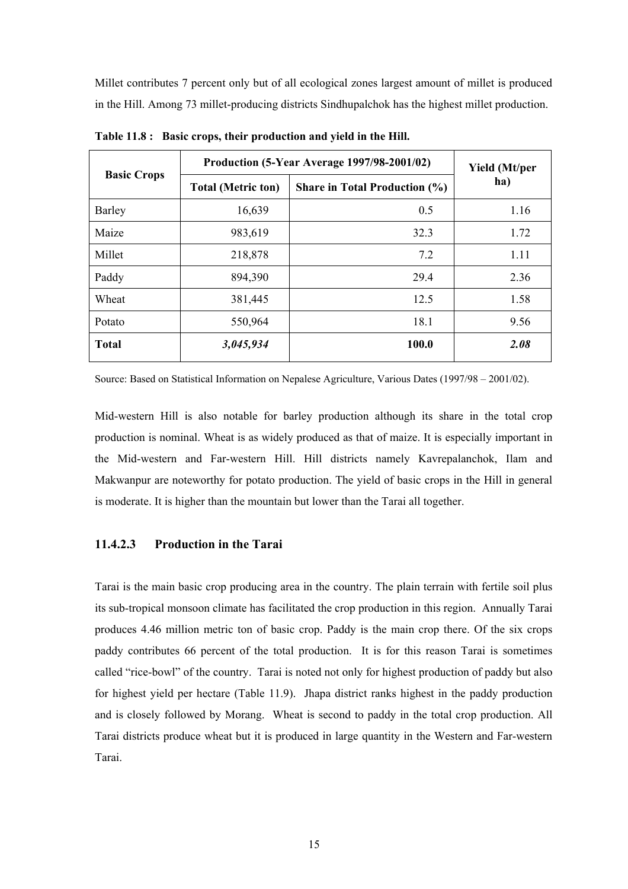Millet contributes 7 percent only but of all ecological zones largest amount of millet is produced in the Hill. Among 73 millet-producing districts Sindhupalchok has the highest millet production.

| <b>Basic Crops</b> | <b>Production (5-Year Average 1997/98-2001/02)</b> | <b>Yield</b> (Mt/per                 |      |
|--------------------|----------------------------------------------------|--------------------------------------|------|
|                    | <b>Total (Metric ton)</b>                          | <b>Share in Total Production (%)</b> | ha)  |
| Barley             | 16,639                                             | 0.5                                  | 1.16 |
| Maize              | 983,619                                            | 32.3                                 | 1.72 |
| Millet             | 218,878                                            | 7.2                                  | 1.11 |
| Paddy              | 894,390                                            | 29.4                                 | 2.36 |
| Wheat              | 381,445                                            | 12.5                                 | 1.58 |
| Potato             | 550,964                                            | 18.1                                 | 9.56 |
| <b>Total</b>       | 3,045,934                                          | 100.0                                | 2.08 |

**Table 11.8 : Basic crops, their production and yield in the Hill.** 

Source: Based on Statistical Information on Nepalese Agriculture, Various Dates (1997/98 – 2001/02).

Mid-western Hill is also notable for barley production although its share in the total crop production is nominal. Wheat is as widely produced as that of maize. It is especially important in the Mid-western and Far-western Hill. Hill districts namely Kavrepalanchok, Ilam and Makwanpur are noteworthy for potato production. The yield of basic crops in the Hill in general is moderate. It is higher than the mountain but lower than the Tarai all together.

## **11.4.2.3 Production in the Tarai**

Tarai is the main basic crop producing area in the country. The plain terrain with fertile soil plus its sub-tropical monsoon climate has facilitated the crop production in this region. Annually Tarai produces 4.46 million metric ton of basic crop. Paddy is the main crop there. Of the six crops paddy contributes 66 percent of the total production. It is for this reason Tarai is sometimes called "rice-bowl" of the country. Tarai is noted not only for highest production of paddy but also for highest yield per hectare (Table 11.9). Jhapa district ranks highest in the paddy production and is closely followed by Morang. Wheat is second to paddy in the total crop production. All Tarai districts produce wheat but it is produced in large quantity in the Western and Far-western Tarai.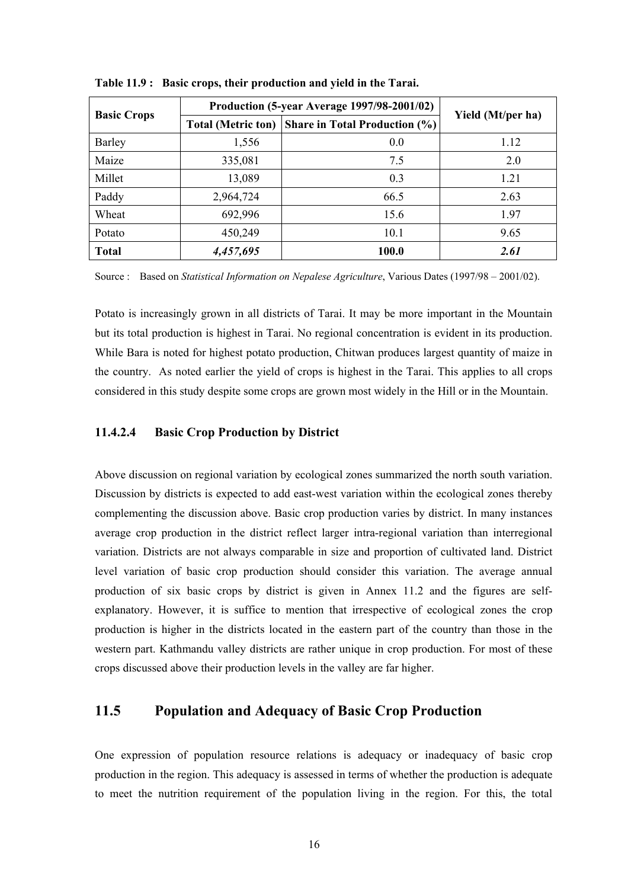| <b>Basic Crops</b> | Production (5-year Average 1997/98-2001/02) |                                      |                   |
|--------------------|---------------------------------------------|--------------------------------------|-------------------|
|                    | <b>Total (Metric ton)</b>                   | <b>Share in Total Production (%)</b> | Yield (Mt/per ha) |
| Barley             | 1,556                                       | 0.0                                  | 1.12              |
| Maize              | 335,081                                     | 7.5                                  | 2.0               |
| Millet             | 13,089                                      | 0.3                                  | 1.21              |
| Paddy              | 2,964,724                                   | 66.5                                 | 2.63              |
| Wheat              | 692,996                                     | 15.6                                 | 1.97              |
| Potato             | 450,249                                     | 10.1                                 | 9.65              |
| <b>Total</b>       | 4,457,695                                   | 100.0                                | 2.61              |

**Table 11.9 : Basic crops, their production and yield in the Tarai.** 

Source : Based on *Statistical Information on Nepalese Agriculture*, Various Dates (1997/98 – 2001/02).

Potato is increasingly grown in all districts of Tarai. It may be more important in the Mountain but its total production is highest in Tarai. No regional concentration is evident in its production. While Bara is noted for highest potato production, Chitwan produces largest quantity of maize in the country. As noted earlier the yield of crops is highest in the Tarai. This applies to all crops considered in this study despite some crops are grown most widely in the Hill or in the Mountain.

#### **11.4.2.4 Basic Crop Production by District**

Above discussion on regional variation by ecological zones summarized the north south variation. Discussion by districts is expected to add east-west variation within the ecological zones thereby complementing the discussion above. Basic crop production varies by district. In many instances average crop production in the district reflect larger intra-regional variation than interregional variation. Districts are not always comparable in size and proportion of cultivated land. District level variation of basic crop production should consider this variation. The average annual production of six basic crops by district is given in Annex 11.2 and the figures are selfexplanatory. However, it is suffice to mention that irrespective of ecological zones the crop production is higher in the districts located in the eastern part of the country than those in the western part. Kathmandu valley districts are rather unique in crop production. For most of these crops discussed above their production levels in the valley are far higher.

# **11.5 Population and Adequacy of Basic Crop Production**

One expression of population resource relations is adequacy or inadequacy of basic crop production in the region. This adequacy is assessed in terms of whether the production is adequate to meet the nutrition requirement of the population living in the region. For this, the total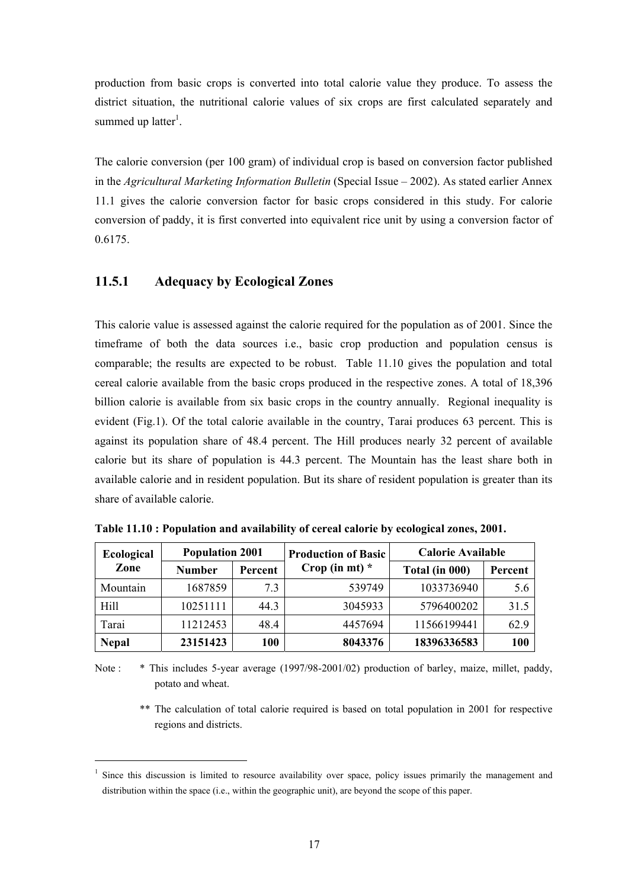production from basic crops is converted into total calorie value they produce. To assess the district situation, the nutritional calorie values of six crops are first calculated separately and summed up latter<sup>1</sup>.

The calorie conversion (per 100 gram) of individual crop is based on conversion factor published in the *Agricultural Marketing Information Bulletin* (Special Issue – 2002). As stated earlier Annex 11.1 gives the calorie conversion factor for basic crops considered in this study. For calorie conversion of paddy, it is first converted into equivalent rice unit by using a conversion factor of 0.6175.

## **11.5.1 Adequacy by Ecological Zones**

l

This calorie value is assessed against the calorie required for the population as of 2001. Since the timeframe of both the data sources i.e., basic crop production and population census is comparable; the results are expected to be robust. Table 11.10 gives the population and total cereal calorie available from the basic crops produced in the respective zones. A total of 18,396 billion calorie is available from six basic crops in the country annually. Regional inequality is evident (Fig.1). Of the total calorie available in the country, Tarai produces 63 percent. This is against its population share of 48.4 percent. The Hill produces nearly 32 percent of available calorie but its share of population is 44.3 percent. The Mountain has the least share both in available calorie and in resident population. But its share of resident population is greater than its share of available calorie.

| <b>Ecological</b> | <b>Population 2001</b> |         | <b>Production of Basic</b> | <b>Calorie Available</b> |            |
|-------------------|------------------------|---------|----------------------------|--------------------------|------------|
| Zone              | <b>Number</b>          | Percent | Crop (in mt) $*$           | Total (in 000)           | Percent    |
| Mountain          | 1687859                | 7.3     | 539749                     | 1033736940               | 5.6        |
| Hill              | 10251111               | 44.3    | 3045933                    | 5796400202               | 31.5       |
| Tarai             | 11212453               | 48.4    | 4457694                    | 11566199441              | 62.9       |
| <b>Nepal</b>      | 23151423               | 100     | 8043376                    | 18396336583              | <b>100</b> |

**Table 11.10 : Population and availability of cereal calorie by ecological zones, 2001.** 

Note : \* This includes 5-year average (1997/98-2001/02) production of barley, maize, millet, paddy, potato and wheat.

 \*\* The calculation of total calorie required is based on total population in 2001 for respective regions and districts.

<sup>&</sup>lt;sup>1</sup> Since this discussion is limited to resource availability over space, policy issues primarily the management and distribution within the space (i.e., within the geographic unit), are beyond the scope of this paper.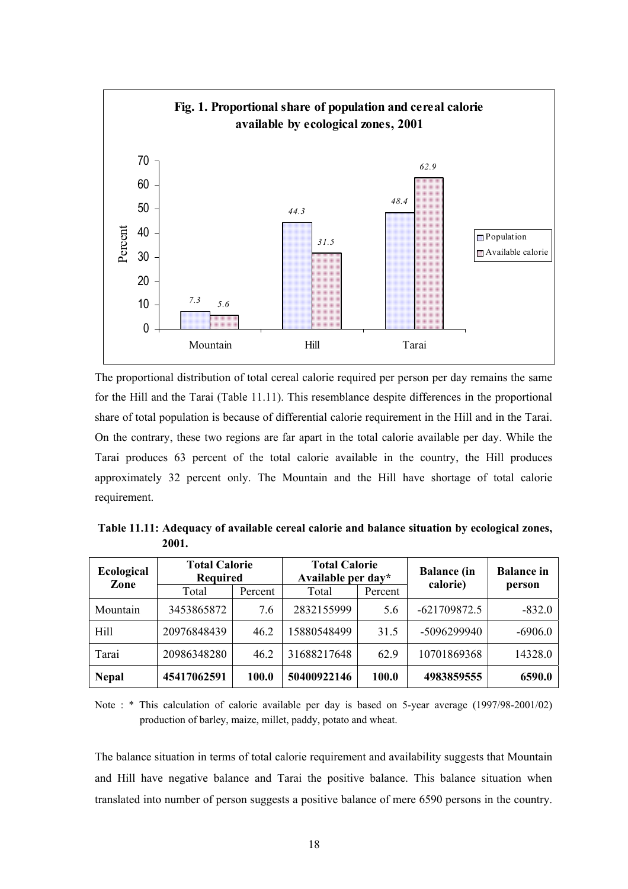

The proportional distribution of total cereal calorie required per person per day remains the same for the Hill and the Tarai (Table 11.11). This resemblance despite differences in the proportional share of total population is because of differential calorie requirement in the Hill and in the Tarai. On the contrary, these two regions are far apart in the total calorie available per day. While the Tarai produces 63 percent of the total calorie available in the country, the Hill produces approximately 32 percent only. The Mountain and the Hill have shortage of total calorie requirement.

 **Table 11.11: Adequacy of available cereal calorie and balance situation by ecological zones, 2001.** 

| Ecological<br>Zone | <b>Total Calorie</b><br><b>Required</b> |         | <b>Total Calorie</b><br>Available per day* |         | <b>Balance</b> (in | <b>Balance</b> in |
|--------------------|-----------------------------------------|---------|--------------------------------------------|---------|--------------------|-------------------|
|                    | Total                                   | Percent | Total                                      | Percent | calorie)           | person            |
| Mountain           | 3453865872                              | 7.6     | 2832155999                                 | 5.6     | $-621709872.5$     | $-832.0$          |
| Hill               | 20976848439                             | 46.2    | 15880548499                                | 31.5    | -5096299940        | $-6906.0$         |
| Tarai              | 20986348280                             | 46.2    | 31688217648                                | 62.9    | 10701869368        | 14328.0           |
| <b>Nepal</b>       | 45417062591                             | 100.0   | 50400922146                                | 100.0   | 4983859555         | 6590.0            |

Note : \* This calculation of calorie available per day is based on 5-year average (1997/98-2001/02) production of barley, maize, millet, paddy, potato and wheat.

The balance situation in terms of total calorie requirement and availability suggests that Mountain and Hill have negative balance and Tarai the positive balance. This balance situation when translated into number of person suggests a positive balance of mere 6590 persons in the country.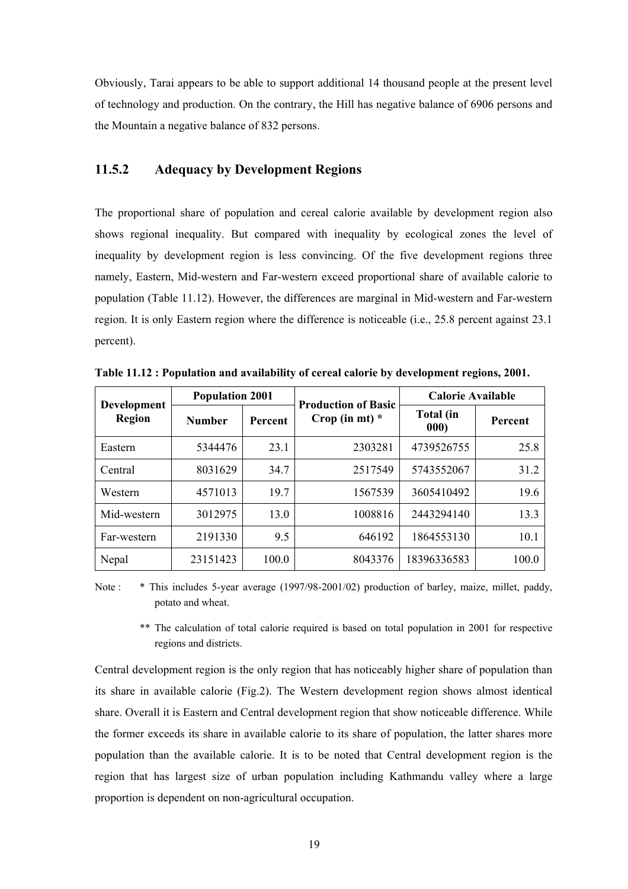Obviously, Tarai appears to be able to support additional 14 thousand people at the present level of technology and production. On the contrary, the Hill has negative balance of 6906 persons and the Mountain a negative balance of 832 persons.

# **11.5.2 Adequacy by Development Regions**

The proportional share of population and cereal calorie available by development region also shows regional inequality. But compared with inequality by ecological zones the level of inequality by development region is less convincing. Of the five development regions three namely, Eastern, Mid-western and Far-western exceed proportional share of available calorie to population (Table 11.12). However, the differences are marginal in Mid-western and Far-western region. It is only Eastern region where the difference is noticeable (i.e., 25.8 percent against 23.1 percent).

| Development<br><b>Region</b> | <b>Population 2001</b> |         | <b>Production of Basic</b> | <b>Calorie Available</b> |                |
|------------------------------|------------------------|---------|----------------------------|--------------------------|----------------|
|                              | <b>Number</b>          | Percent | Crop (in mt) $*$           | <b>Total</b> (in<br>000) | <b>Percent</b> |
| Eastern                      | 5344476                | 23.1    | 2303281                    | 4739526755               | 25.8           |
| Central                      | 8031629                | 34.7    | 2517549                    | 5743552067               | 31.2           |
| Western                      | 4571013                | 19.7    | 1567539                    | 3605410492               | 19.6           |
| Mid-western                  | 3012975                | 13.0    | 1008816                    | 2443294140               | 13.3           |
| Far-western                  | 2191330                | 9.5     | 646192                     | 1864553130               | 10.1           |
| Nepal                        | 23151423               | 100.0   | 8043376                    | 18396336583              | 100.0          |

**Table 11.12 : Population and availability of cereal calorie by development regions, 2001.** 

Note : \* This includes 5-year average (1997/98-2001/02) production of barley, maize, millet, paddy, potato and wheat.

 \*\* The calculation of total calorie required is based on total population in 2001 for respective regions and districts.

Central development region is the only region that has noticeably higher share of population than its share in available calorie (Fig.2). The Western development region shows almost identical share. Overall it is Eastern and Central development region that show noticeable difference. While the former exceeds its share in available calorie to its share of population, the latter shares more population than the available calorie. It is to be noted that Central development region is the region that has largest size of urban population including Kathmandu valley where a large proportion is dependent on non-agricultural occupation.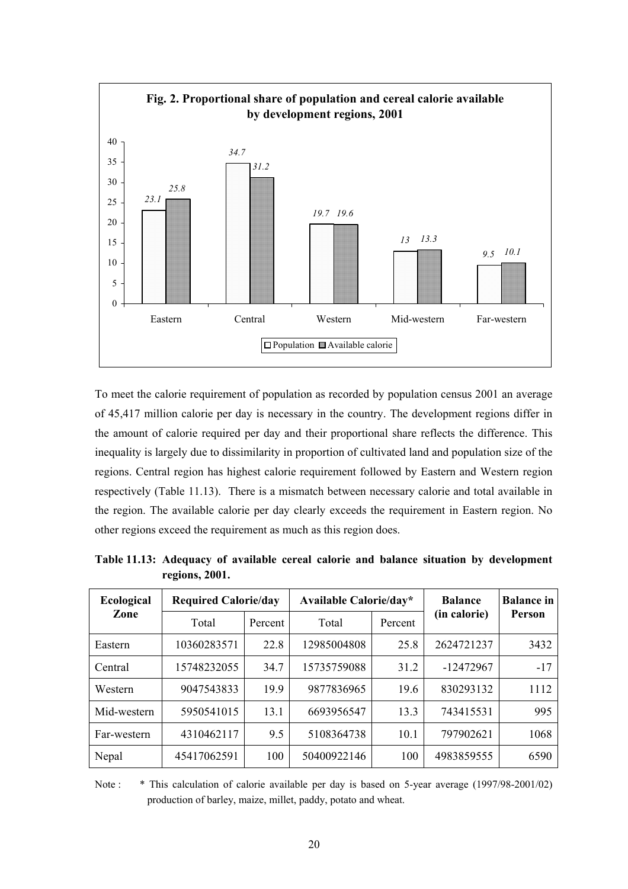

To meet the calorie requirement of population as recorded by population census 2001 an average of 45,417 million calorie per day is necessary in the country. The development regions differ in the amount of calorie required per day and their proportional share reflects the difference. This inequality is largely due to dissimilarity in proportion of cultivated land and population size of the regions. Central region has highest calorie requirement followed by Eastern and Western region respectively (Table 11.13). There is a mismatch between necessary calorie and total available in the region. The available calorie per day clearly exceeds the requirement in Eastern region. No other regions exceed the requirement as much as this region does.

| <b>Ecological</b><br>Zone | <b>Required Calorie/day</b> |         | Available Calorie/day* |         | <b>Balance</b> | <b>Balance</b> in<br>Person |
|---------------------------|-----------------------------|---------|------------------------|---------|----------------|-----------------------------|
|                           | Total                       | Percent | Total                  | Percent | (in calorie)   |                             |
| Eastern                   | 10360283571                 | 22.8    | 12985004808            | 25.8    | 2624721237     | 3432                        |
| Central                   | 15748232055                 | 34.7    | 15735759088            | 31.2    | -12472967      | $-17$                       |
| Western                   | 9047543833                  | 19.9    | 9877836965             | 19.6    | 830293132      | 1112                        |
| Mid-western               | 5950541015                  | 13.1    | 6693956547             | 13.3    | 743415531      | 995                         |
| Far-western               | 4310462117                  | 9.5     | 5108364738             | 10.1    | 797902621      | 1068                        |
| Nepal                     | 45417062591                 | 100     | 50400922146            | 100     | 4983859555     | 6590                        |

**Table 11.13: Adequacy of available cereal calorie and balance situation by development regions, 2001.** 

Note : \* This calculation of calorie available per day is based on 5-year average (1997/98-2001/02) production of barley, maize, millet, paddy, potato and wheat.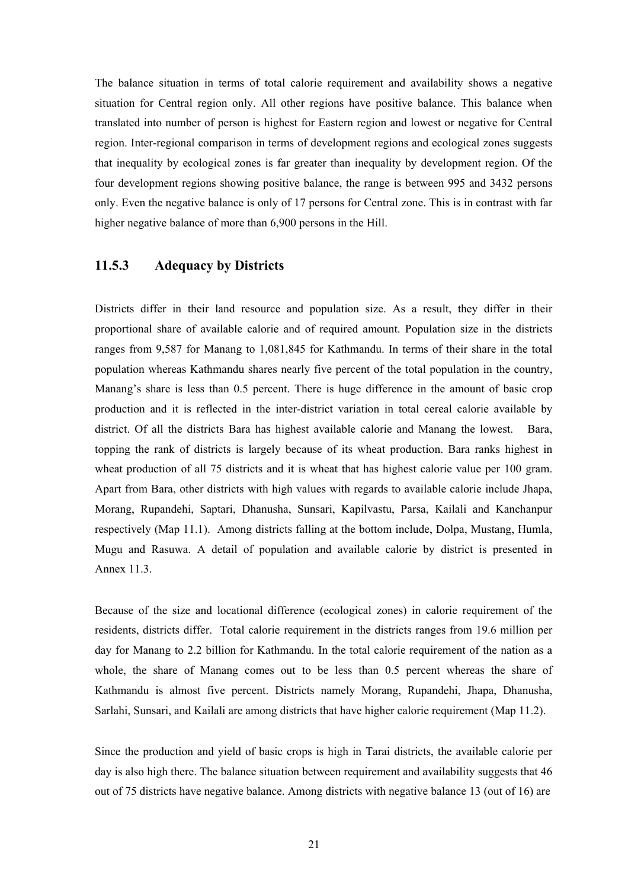The balance situation in terms of total calorie requirement and availability shows a negative situation for Central region only. All other regions have positive balance. This balance when translated into number of person is highest for Eastern region and lowest or negative for Central region. Inter-regional comparison in terms of development regions and ecological zones suggests that inequality by ecological zones is far greater than inequality by development region. Of the four development regions showing positive balance, the range is between 995 and 3432 persons only. Even the negative balance is only of 17 persons for Central zone. This is in contrast with far higher negative balance of more than 6,900 persons in the Hill.

## **11.5.3 Adequacy by Districts**

Districts differ in their land resource and population size. As a result, they differ in their proportional share of available calorie and of required amount. Population size in the districts ranges from 9,587 for Manang to 1,081,845 for Kathmandu. In terms of their share in the total population whereas Kathmandu shares nearly five percent of the total population in the country, Manang's share is less than 0.5 percent. There is huge difference in the amount of basic crop production and it is reflected in the inter-district variation in total cereal calorie available by district. Of all the districts Bara has highest available calorie and Manang the lowest. Bara, topping the rank of districts is largely because of its wheat production. Bara ranks highest in wheat production of all 75 districts and it is wheat that has highest calorie value per 100 gram. Apart from Bara, other districts with high values with regards to available calorie include Jhapa, Morang, Rupandehi, Saptari, Dhanusha, Sunsari, Kapilvastu, Parsa, Kailali and Kanchanpur respectively (Map 11.1). Among districts falling at the bottom include, Dolpa, Mustang, Humla, Mugu and Rasuwa. A detail of population and available calorie by district is presented in Annex 11.3.

Because of the size and locational difference (ecological zones) in calorie requirement of the residents, districts differ. Total calorie requirement in the districts ranges from 19.6 million per day for Manang to 2.2 billion for Kathmandu. In the total calorie requirement of the nation as a whole, the share of Manang comes out to be less than 0.5 percent whereas the share of Kathmandu is almost five percent. Districts namely Morang, Rupandehi, Jhapa, Dhanusha, Sarlahi, Sunsari, and Kailali are among districts that have higher calorie requirement (Map 11.2).

Since the production and yield of basic crops is high in Tarai districts, the available calorie per day is also high there. The balance situation between requirement and availability suggests that 46 out of 75 districts have negative balance. Among districts with negative balance 13 (out of 16) are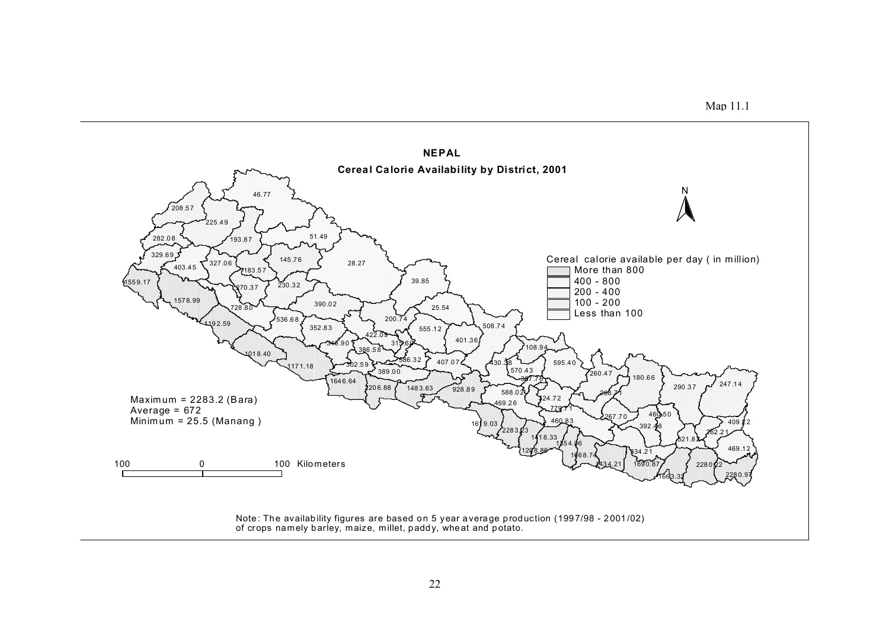

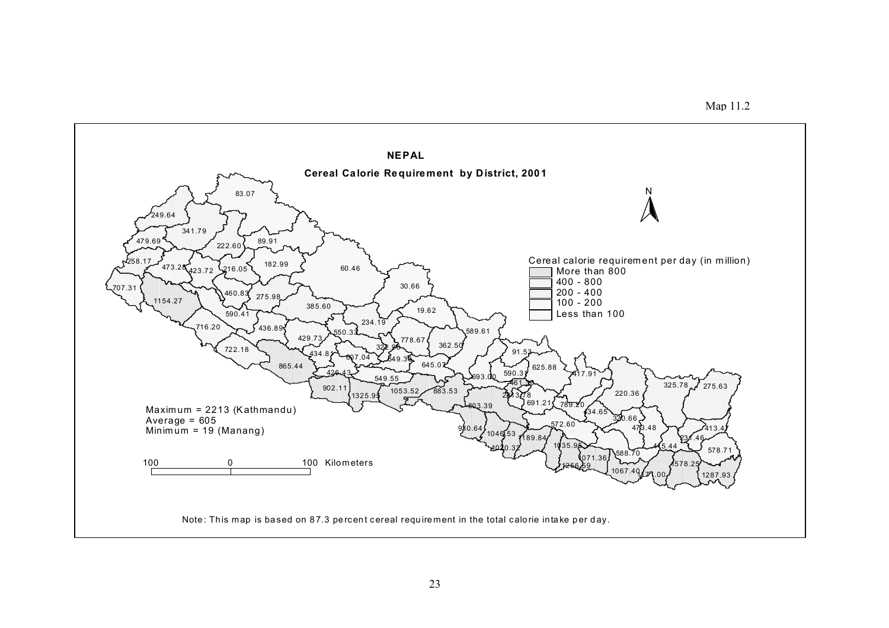

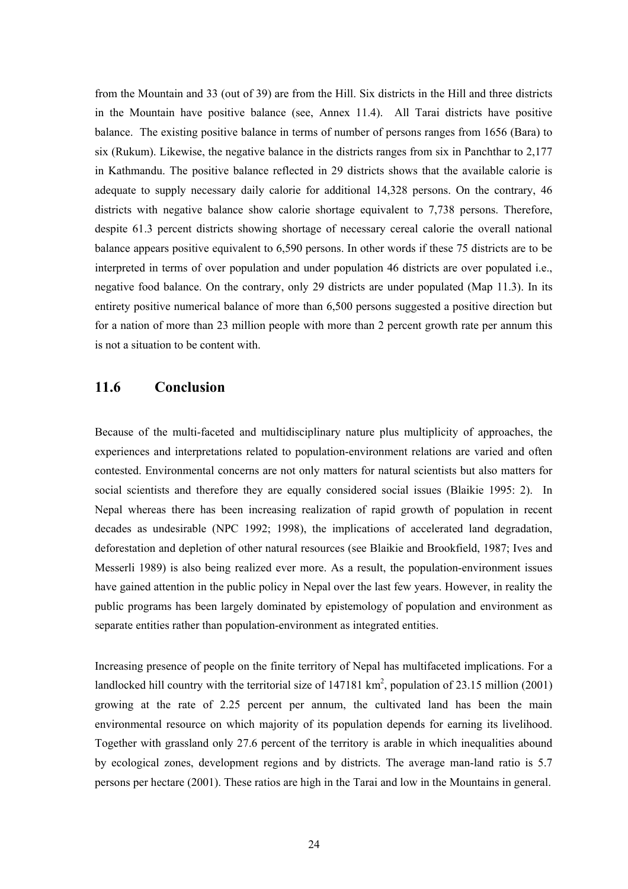from the Mountain and 33 (out of 39) are from the Hill. Six districts in the Hill and three districts in the Mountain have positive balance (see, Annex 11.4). All Tarai districts have positive balance. The existing positive balance in terms of number of persons ranges from 1656 (Bara) to six (Rukum). Likewise, the negative balance in the districts ranges from six in Panchthar to 2,177 in Kathmandu. The positive balance reflected in 29 districts shows that the available calorie is adequate to supply necessary daily calorie for additional 14,328 persons. On the contrary, 46 districts with negative balance show calorie shortage equivalent to 7,738 persons. Therefore, despite 61.3 percent districts showing shortage of necessary cereal calorie the overall national balance appears positive equivalent to 6,590 persons. In other words if these 75 districts are to be interpreted in terms of over population and under population 46 districts are over populated i.e., negative food balance. On the contrary, only 29 districts are under populated (Map 11.3). In its entirety positive numerical balance of more than 6,500 persons suggested a positive direction but for a nation of more than 23 million people with more than 2 percent growth rate per annum this is not a situation to be content with.

# **11.6 Conclusion**

Because of the multi-faceted and multidisciplinary nature plus multiplicity of approaches, the experiences and interpretations related to population-environment relations are varied and often contested. Environmental concerns are not only matters for natural scientists but also matters for social scientists and therefore they are equally considered social issues (Blaikie 1995: 2). In Nepal whereas there has been increasing realization of rapid growth of population in recent decades as undesirable (NPC 1992; 1998), the implications of accelerated land degradation, deforestation and depletion of other natural resources (see Blaikie and Brookfield, 1987; Ives and Messerli 1989) is also being realized ever more. As a result, the population-environment issues have gained attention in the public policy in Nepal over the last few years. However, in reality the public programs has been largely dominated by epistemology of population and environment as separate entities rather than population-environment as integrated entities.

Increasing presence of people on the finite territory of Nepal has multifaceted implications. For a landlocked hill country with the territorial size of  $147181 \text{ km}^2$ , population of 23.15 million (2001) growing at the rate of 2.25 percent per annum, the cultivated land has been the main environmental resource on which majority of its population depends for earning its livelihood. Together with grassland only 27.6 percent of the territory is arable in which inequalities abound by ecological zones, development regions and by districts. The average man-land ratio is 5.7 persons per hectare (2001). These ratios are high in the Tarai and low in the Mountains in general.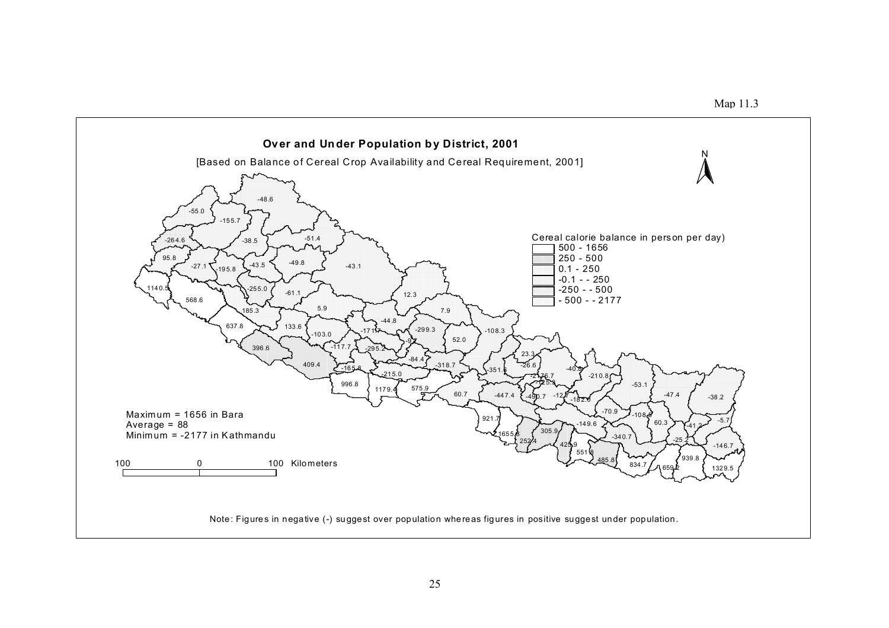

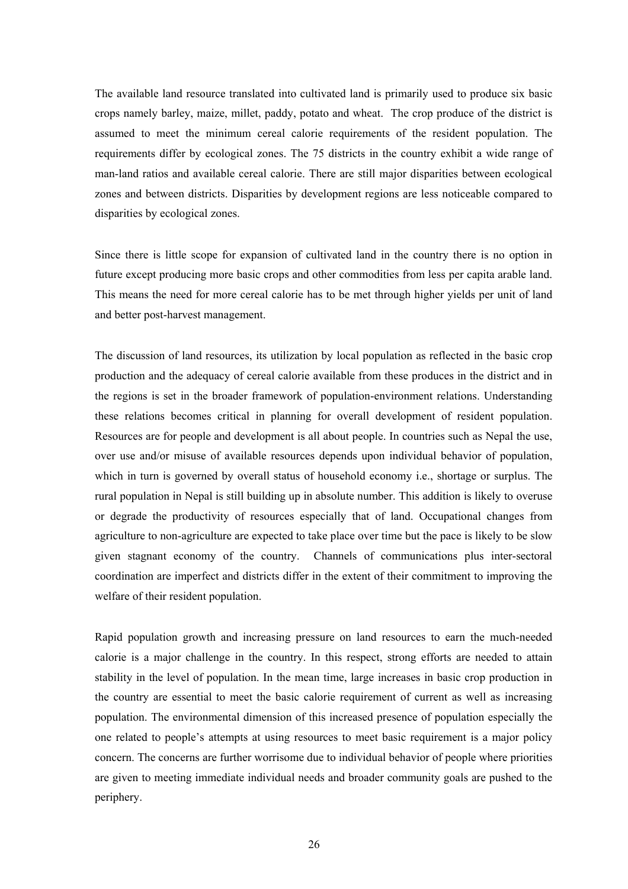The available land resource translated into cultivated land is primarily used to produce six basic crops namely barley, maize, millet, paddy, potato and wheat. The crop produce of the district is assumed to meet the minimum cereal calorie requirements of the resident population. The requirements differ by ecological zones. The 75 districts in the country exhibit a wide range of man-land ratios and available cereal calorie. There are still major disparities between ecological zones and between districts. Disparities by development regions are less noticeable compared to disparities by ecological zones.

Since there is little scope for expansion of cultivated land in the country there is no option in future except producing more basic crops and other commodities from less per capita arable land. This means the need for more cereal calorie has to be met through higher yields per unit of land and better post-harvest management.

The discussion of land resources, its utilization by local population as reflected in the basic crop production and the adequacy of cereal calorie available from these produces in the district and in the regions is set in the broader framework of population-environment relations. Understanding these relations becomes critical in planning for overall development of resident population. Resources are for people and development is all about people. In countries such as Nepal the use, over use and/or misuse of available resources depends upon individual behavior of population, which in turn is governed by overall status of household economy i.e., shortage or surplus. The rural population in Nepal is still building up in absolute number. This addition is likely to overuse or degrade the productivity of resources especially that of land. Occupational changes from agriculture to non-agriculture are expected to take place over time but the pace is likely to be slow given stagnant economy of the country. Channels of communications plus inter-sectoral coordination are imperfect and districts differ in the extent of their commitment to improving the welfare of their resident population.

Rapid population growth and increasing pressure on land resources to earn the much-needed calorie is a major challenge in the country. In this respect, strong efforts are needed to attain stability in the level of population. In the mean time, large increases in basic crop production in the country are essential to meet the basic calorie requirement of current as well as increasing population. The environmental dimension of this increased presence of population especially the one related to people's attempts at using resources to meet basic requirement is a major policy concern. The concerns are further worrisome due to individual behavior of people where priorities are given to meeting immediate individual needs and broader community goals are pushed to the periphery.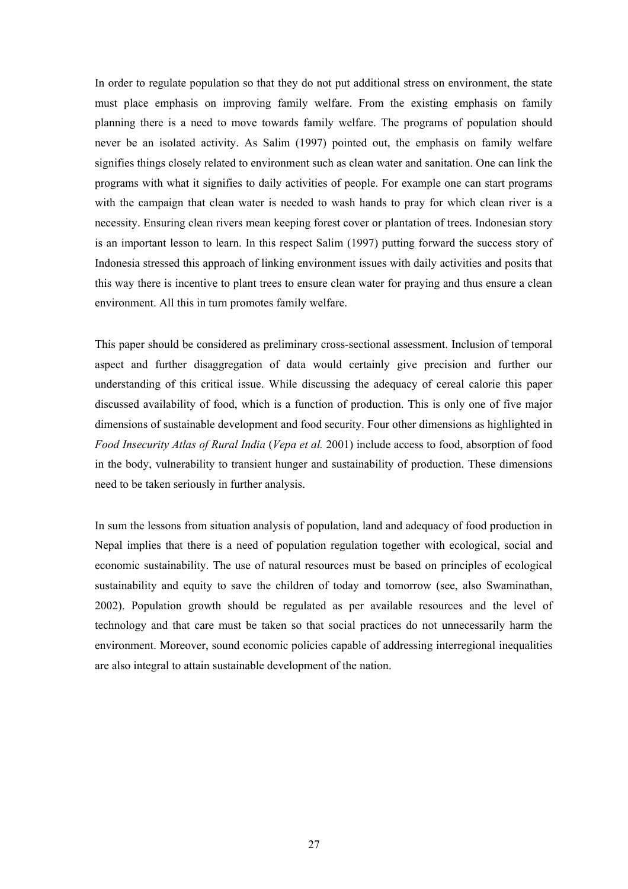In order to regulate population so that they do not put additional stress on environment, the state must place emphasis on improving family welfare. From the existing emphasis on family planning there is a need to move towards family welfare. The programs of population should never be an isolated activity. As Salim (1997) pointed out, the emphasis on family welfare signifies things closely related to environment such as clean water and sanitation. One can link the programs with what it signifies to daily activities of people. For example one can start programs with the campaign that clean water is needed to wash hands to pray for which clean river is a necessity. Ensuring clean rivers mean keeping forest cover or plantation of trees. Indonesian story is an important lesson to learn. In this respect Salim (1997) putting forward the success story of Indonesia stressed this approach of linking environment issues with daily activities and posits that this way there is incentive to plant trees to ensure clean water for praying and thus ensure a clean environment. All this in turn promotes family welfare.

This paper should be considered as preliminary cross-sectional assessment. Inclusion of temporal aspect and further disaggregation of data would certainly give precision and further our understanding of this critical issue. While discussing the adequacy of cereal calorie this paper discussed availability of food, which is a function of production. This is only one of five major dimensions of sustainable development and food security. Four other dimensions as highlighted in *Food Insecurity Atlas of Rural India* (*Vepa et al.* 2001) include access to food, absorption of food in the body, vulnerability to transient hunger and sustainability of production. These dimensions need to be taken seriously in further analysis.

In sum the lessons from situation analysis of population, land and adequacy of food production in Nepal implies that there is a need of population regulation together with ecological, social and economic sustainability. The use of natural resources must be based on principles of ecological sustainability and equity to save the children of today and tomorrow (see, also Swaminathan, 2002). Population growth should be regulated as per available resources and the level of technology and that care must be taken so that social practices do not unnecessarily harm the environment. Moreover, sound economic policies capable of addressing interregional inequalities are also integral to attain sustainable development of the nation.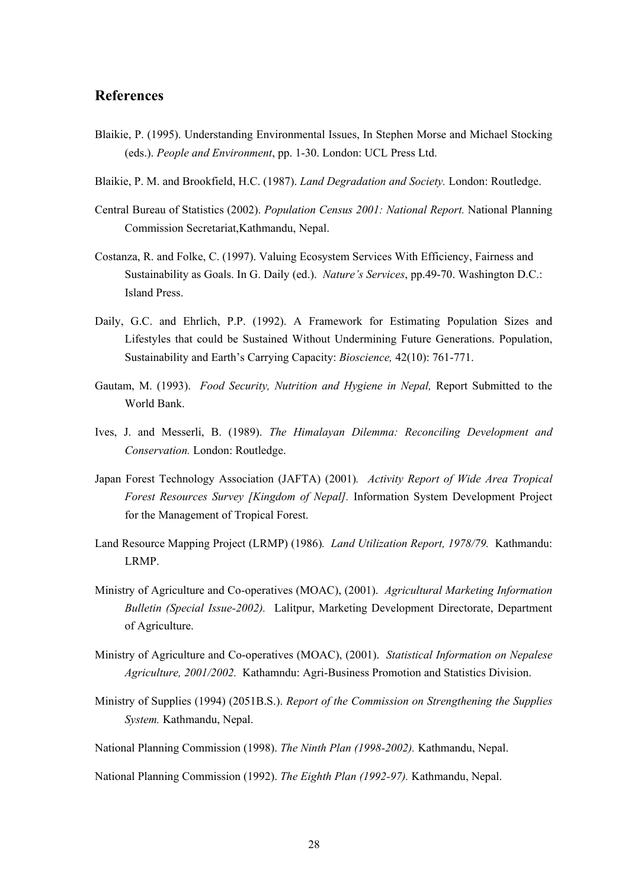## **References**

- Blaikie, P. (1995). Understanding Environmental Issues, In Stephen Morse and Michael Stocking (eds.). *People and Environment*, pp. 1-30. London: UCL Press Ltd.
- Blaikie, P. M. and Brookfield, H.C. (1987). *Land Degradation and Society.* London: Routledge.
- Central Bureau of Statistics (2002). *Population Census 2001: National Report.* National Planning Commission Secretariat,Kathmandu, Nepal.
- Costanza, R. and Folke, C. (1997). Valuing Ecosystem Services With Efficiency, Fairness and Sustainability as Goals. In G. Daily (ed.). *Nature's Services*, pp.49-70. Washington D.C.: Island Press.
- Daily, G.C. and Ehrlich, P.P. (1992). A Framework for Estimating Population Sizes and Lifestyles that could be Sustained Without Undermining Future Generations. Population, Sustainability and Earth's Carrying Capacity: *Bioscience,* 42(10): 761-771.
- Gautam, M. (1993). *Food Security, Nutrition and Hygiene in Nepal,* Report Submitted to the World Bank.
- Ives, J. and Messerli, B. (1989). *The Himalayan Dilemma: Reconciling Development and Conservation.* London: Routledge.
- Japan Forest Technology Association (JAFTA) (2001)*. Activity Report of Wide Area Tropical Forest Resources Survey [Kingdom of Nepal].* Information System Development Project for the Management of Tropical Forest.
- Land Resource Mapping Project (LRMP) (1986)*. Land Utilization Report, 1978/79.* Kathmandu: LRMP.
- Ministry of Agriculture and Co-operatives (MOAC), (2001). *Agricultural Marketing Information Bulletin (Special Issue-2002).* Lalitpur, Marketing Development Directorate, Department of Agriculture.
- Ministry of Agriculture and Co-operatives (MOAC), (2001). *Statistical Information on Nepalese Agriculture, 2001/2002.* Kathamndu: Agri-Business Promotion and Statistics Division.
- Ministry of Supplies (1994) (2051B.S.). *Report of the Commission on Strengthening the Supplies System.* Kathmandu, Nepal.
- National Planning Commission (1998). *The Ninth Plan (1998-2002).* Kathmandu, Nepal.

National Planning Commission (1992). *The Eighth Plan (1992-97).* Kathmandu, Nepal.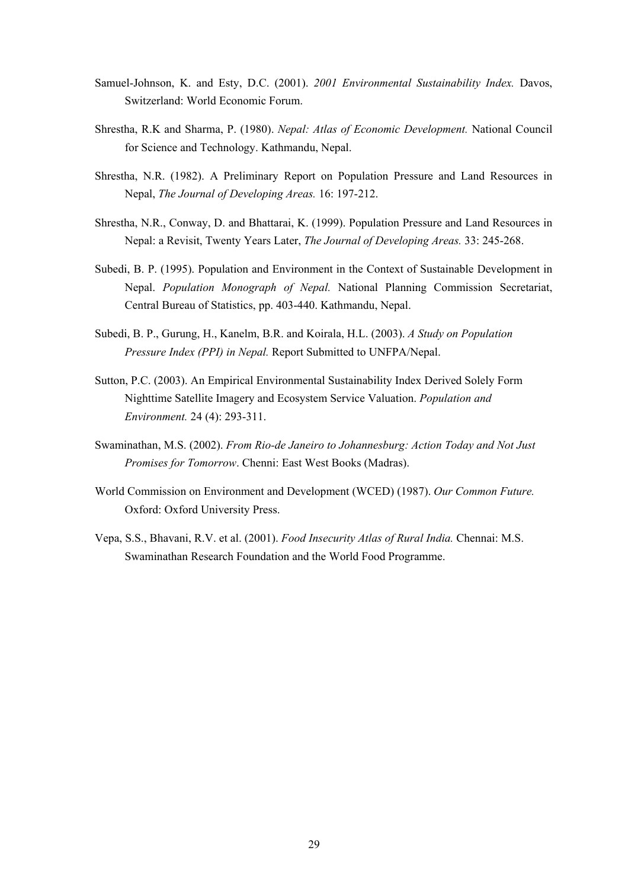- Samuel-Johnson, K. and Esty, D.C. (2001). *2001 Environmental Sustainability Index.* Davos, Switzerland: World Economic Forum.
- Shrestha, R.K and Sharma, P. (1980). *Nepal: Atlas of Economic Development.* National Council for Science and Technology. Kathmandu, Nepal.
- Shrestha, N.R. (1982). A Preliminary Report on Population Pressure and Land Resources in Nepal, *The Journal of Developing Areas.* 16: 197-212.
- Shrestha, N.R., Conway, D. and Bhattarai, K. (1999). Population Pressure and Land Resources in Nepal: a Revisit, Twenty Years Later, *The Journal of Developing Areas.* 33: 245-268.
- Subedi, B. P. (1995). Population and Environment in the Context of Sustainable Development in Nepal. *Population Monograph of Nepal.* National Planning Commission Secretariat, Central Bureau of Statistics, pp. 403-440. Kathmandu, Nepal.
- Subedi, B. P., Gurung, H., Kanelm, B.R. and Koirala, H.L. (2003). *A Study on Population Pressure Index (PPI) in Nepal.* Report Submitted to UNFPA/Nepal.
- Sutton, P.C. (2003). An Empirical Environmental Sustainability Index Derived Solely Form Nighttime Satellite Imagery and Ecosystem Service Valuation. *Population and Environment.* 24 (4): 293-311.
- Swaminathan, M.S. (2002). *From Rio-de Janeiro to Johannesburg: Action Today and Not Just Promises for Tomorrow*. Chenni: East West Books (Madras).
- World Commission on Environment and Development (WCED) (1987). *Our Common Future.* Oxford: Oxford University Press.
- Vepa, S.S., Bhavani, R.V. et al. (2001). *Food Insecurity Atlas of Rural India.* Chennai: M.S. Swaminathan Research Foundation and the World Food Programme.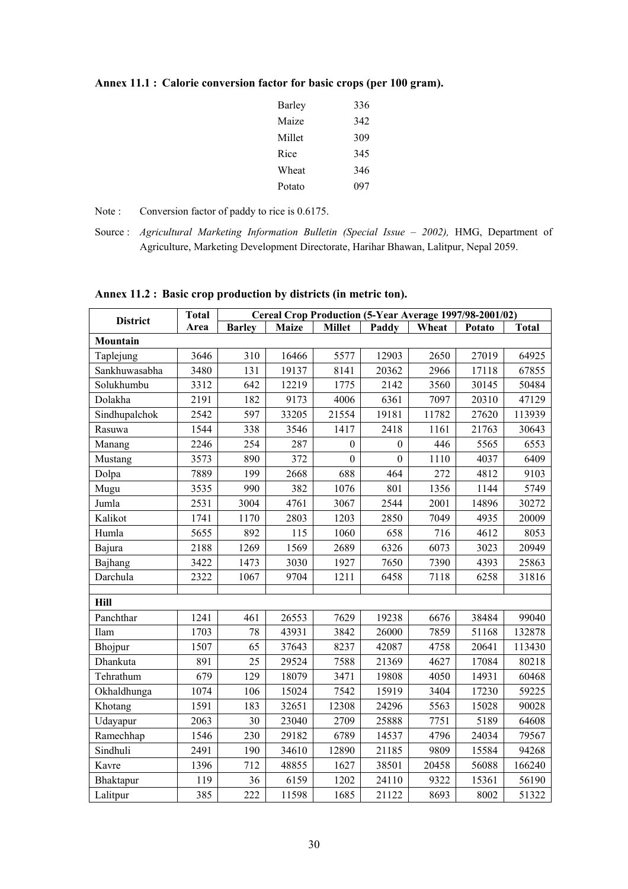| Barley | 336 |
|--------|-----|
| Maize  | 342 |
| Millet | 309 |
| Rice   | 345 |
| Wheat  | 346 |
| Potato | 097 |

## **Annex 11.1 : Calorie conversion factor for basic crops (per 100 gram).**

Note : Conversion factor of paddy to rice is 0.6175.

Source : *Agricultural Marketing Information Bulletin (Special Issue – 2002),* HMG, Department of Agriculture, Marketing Development Directorate, Harihar Bhawan, Lalitpur, Nepal 2059.

| <b>District</b> | <b>Total</b> | Cereal Crop Production (5-Year Average 1997/98-2001/02) |              |                  |                  |       |        |              |
|-----------------|--------------|---------------------------------------------------------|--------------|------------------|------------------|-------|--------|--------------|
|                 | Area         | <b>Barley</b>                                           | <b>Maize</b> | <b>Millet</b>    | Paddy            | Wheat | Potato | <b>Total</b> |
| Mountain        |              |                                                         |              |                  |                  |       |        |              |
| Taplejung       | 3646         | 310                                                     | 16466        | 5577             | 12903            | 2650  | 27019  | 64925        |
| Sankhuwasabha   | 3480         | 131                                                     | 19137        | 8141             | 20362            | 2966  | 17118  | 67855        |
| Solukhumbu      | 3312         | 642                                                     | 12219        | 1775             | 2142             | 3560  | 30145  | 50484        |
| Dolakha         | 2191         | 182                                                     | 9173         | 4006             | 6361             | 7097  | 20310  | 47129        |
| Sindhupalchok   | 2542         | 597                                                     | 33205        | 21554            | 19181            | 11782 | 27620  | 113939       |
| Rasuwa          | 1544         | 338                                                     | 3546         | 1417             | 2418             | 1161  | 21763  | 30643        |
| Manang          | 2246         | 254                                                     | 287          | $\boldsymbol{0}$ | $\boldsymbol{0}$ | 446   | 5565   | 6553         |
| Mustang         | 3573         | 890                                                     | 372          | $\boldsymbol{0}$ | $\boldsymbol{0}$ | 1110  | 4037   | 6409         |
| Dolpa           | 7889         | 199                                                     | 2668         | 688              | 464              | 272   | 4812   | 9103         |
| Mugu            | 3535         | 990                                                     | 382          | 1076             | 801              | 1356  | 1144   | 5749         |
| Jumla           | 2531         | 3004                                                    | 4761         | 3067             | 2544             | 2001  | 14896  | 30272        |
| Kalikot         | 1741         | 1170                                                    | 2803         | 1203             | 2850             | 7049  | 4935   | 20009        |
| Humla           | 5655         | 892                                                     | 115          | 1060             | 658              | 716   | 4612   | 8053         |
| Bajura          | 2188         | 1269                                                    | 1569         | 2689             | 6326             | 6073  | 3023   | 20949        |
| Bajhang         | 3422         | 1473                                                    | 3030         | 1927             | 7650             | 7390  | 4393   | 25863        |
| Darchula        | 2322         | 1067                                                    | 9704         | 1211             | 6458             | 7118  | 6258   | 31816        |
|                 |              |                                                         |              |                  |                  |       |        |              |
| Hill            |              |                                                         |              |                  |                  |       |        |              |
| Panchthar       | 1241         | 461                                                     | 26553        | 7629             | 19238            | 6676  | 38484  | 99040        |
| Ilam            | 1703         | 78                                                      | 43931        | 3842             | 26000            | 7859  | 51168  | 132878       |
| Bhojpur         | 1507         | 65                                                      | 37643        | 8237             | 42087            | 4758  | 20641  | 113430       |
| Dhankuta        | 891          | 25                                                      | 29524        | 7588             | 21369            | 4627  | 17084  | 80218        |
| Tehrathum       | 679          | 129                                                     | 18079        | 3471             | 19808            | 4050  | 14931  | 60468        |
| Okhaldhunga     | 1074         | 106                                                     | 15024        | 7542             | 15919            | 3404  | 17230  | 59225        |
| Khotang         | 1591         | 183                                                     | 32651        | 12308            | 24296            | 5563  | 15028  | 90028        |
| Udayapur        | 2063         | 30                                                      | 23040        | 2709             | 25888            | 7751  | 5189   | 64608        |
| Ramechhap       | 1546         | 230                                                     | 29182        | 6789             | 14537            | 4796  | 24034  | 79567        |
| Sindhuli        | 2491         | 190                                                     | 34610        | 12890            | 21185            | 9809  | 15584  | 94268        |
| Kavre           | 1396         | 712                                                     | 48855        | 1627             | 38501            | 20458 | 56088  | 166240       |
| Bhaktapur       | 119          | 36                                                      | 6159         | 1202             | 24110            | 9322  | 15361  | 56190        |
| Lalitpur        | 385          | 222                                                     | 11598        | 1685             | 21122            | 8693  | 8002   | 51322        |

**Annex 11.2 : Basic crop production by districts (in metric ton).**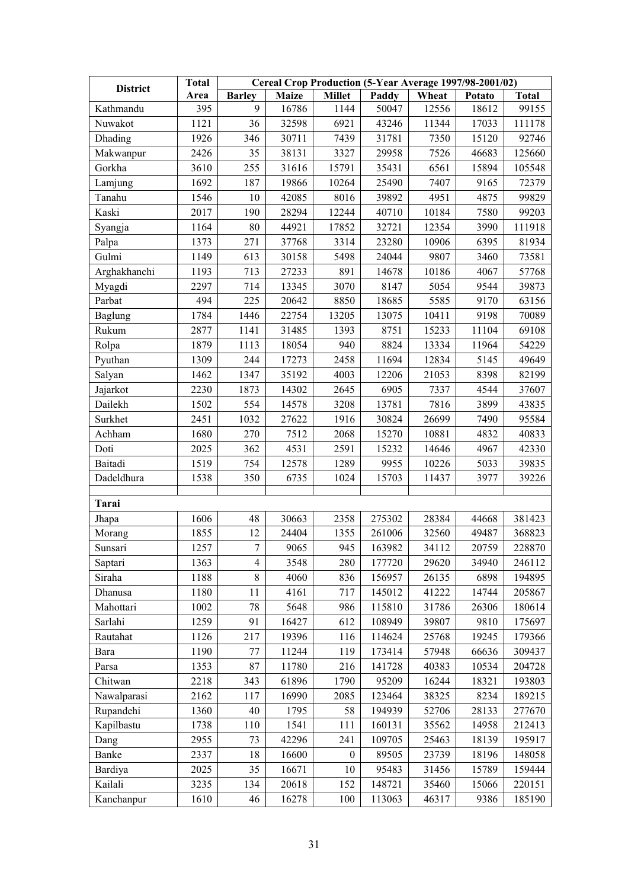| <b>District</b> | Cereal Crop Production (5-Year Average 1997/98-2001/02)<br><b>Total</b> |               |       |                  |        |       |        |              |
|-----------------|-------------------------------------------------------------------------|---------------|-------|------------------|--------|-------|--------|--------------|
|                 | Area                                                                    | <b>Barley</b> | Maize | <b>Millet</b>    | Paddy  | Wheat | Potato | <b>Total</b> |
| Kathmandu       | 395                                                                     | 9             | 16786 | 1144             | 50047  | 12556 | 18612  | 99155        |
| Nuwakot         | 1121                                                                    | 36            | 32598 | 6921             | 43246  | 11344 | 17033  | 111178       |
| Dhading         | 1926                                                                    | 346           | 30711 | 7439             | 31781  | 7350  | 15120  | 92746        |
| Makwanpur       | 2426                                                                    | 35            | 38131 | 3327             | 29958  | 7526  | 46683  | 125660       |
| Gorkha          | 3610                                                                    | 255           | 31616 | 15791            | 35431  | 6561  | 15894  | 105548       |
| Lamjung         | 1692                                                                    | 187           | 19866 | 10264            | 25490  | 7407  | 9165   | 72379        |
| Tanahu          | 1546                                                                    | 10            | 42085 | 8016             | 39892  | 4951  | 4875   | 99829        |
| Kaski           | 2017                                                                    | 190           | 28294 | 12244            | 40710  | 10184 | 7580   | 99203        |
| Syangja         | 1164                                                                    | 80            | 44921 | 17852            | 32721  | 12354 | 3990   | 111918       |
| Palpa           | 1373                                                                    | 271           | 37768 | 3314             | 23280  | 10906 | 6395   | 81934        |
| Gulmi           | 1149                                                                    | 613           | 30158 | 5498             | 24044  | 9807  | 3460   | 73581        |
| Arghakhanchi    | 1193                                                                    | 713           | 27233 | 891              | 14678  | 10186 | 4067   | 57768        |
| Myagdi          | 2297                                                                    | 714           | 13345 | 3070             | 8147   | 5054  | 9544   | 39873        |
| Parbat          | 494                                                                     | 225           | 20642 | 8850             | 18685  | 5585  | 9170   | 63156        |
| Baglung         | 1784                                                                    | 1446          | 22754 | 13205            | 13075  | 10411 | 9198   | 70089        |
| Rukum           | 2877                                                                    | 1141          | 31485 | 1393             | 8751   | 15233 | 11104  | 69108        |
| Rolpa           | 1879                                                                    | 1113          | 18054 | 940              | 8824   | 13334 | 11964  | 54229        |
| Pyuthan         | 1309                                                                    | 244           | 17273 | 2458             | 11694  | 12834 | 5145   | 49649        |
| Salyan          | 1462                                                                    | 1347          | 35192 | 4003             | 12206  | 21053 | 8398   | 82199        |
| Jajarkot        | 2230                                                                    | 1873          | 14302 | 2645             | 6905   | 7337  | 4544   | 37607        |
| Dailekh         | 1502                                                                    | 554           | 14578 | 3208             | 13781  | 7816  | 3899   | 43835        |
| Surkhet         | 2451                                                                    | 1032          | 27622 | 1916             | 30824  | 26699 | 7490   | 95584        |
| Achham          | 1680                                                                    | 270           | 7512  | 2068             | 15270  | 10881 | 4832   | 40833        |
| Doti            | 2025                                                                    | 362           | 4531  | 2591             | 15232  | 14646 | 4967   | 42330        |
| Baitadi         | 1519                                                                    | 754           | 12578 | 1289             | 9955   | 10226 | 5033   | 39835        |
| Dadeldhura      | 1538                                                                    | 350           | 6735  | 1024             | 15703  | 11437 | 3977   | 39226        |
|                 |                                                                         |               |       |                  |        |       |        |              |
| Tarai           |                                                                         |               |       |                  |        |       |        |              |
| Jhapa           | 1606                                                                    | 48            | 30663 | 2358             | 275302 | 28384 | 44668  | 381423       |
| Morang          | 1855                                                                    | 12            | 24404 | 1355             | 261006 | 32560 | 49487  | 368823       |
| Sunsari         | 1257                                                                    | $\tau$        | 9065  | 945              | 163982 | 34112 | 20759  | 228870       |
| Saptari         | 1363                                                                    | 4             | 3548  | 280              | 177720 | 29620 | 34940  | 246112       |
| Siraha          | 1188                                                                    | 8             | 4060  | 836              | 156957 | 26135 | 6898   | 194895       |
| Dhanusa         | 1180                                                                    | 11            | 4161  | 717              | 145012 | 41222 | 14744  | 205867       |
| Mahottari       | 1002                                                                    | 78            | 5648  | 986              | 115810 | 31786 | 26306  | 180614       |
| Sarlahi         | 1259                                                                    | 91            | 16427 | 612              | 108949 | 39807 | 9810   | 175697       |
| Rautahat        | 1126                                                                    | 217           | 19396 | 116              | 114624 | 25768 | 19245  | 179366       |
| Bara            | 1190                                                                    | 77            | 11244 | 119              | 173414 | 57948 | 66636  | 309437       |
| Parsa           | 1353                                                                    | 87            | 11780 | 216              | 141728 | 40383 | 10534  | 204728       |
| Chitwan         | 2218                                                                    | 343           | 61896 | 1790             | 95209  | 16244 | 18321  | 193803       |
| Nawalparasi     | 2162                                                                    | 117           | 16990 | 2085             | 123464 | 38325 | 8234   | 189215       |
| Rupandehi       | 1360                                                                    | 40            | 1795  | 58               | 194939 | 52706 | 28133  | 277670       |
| Kapilbastu      | 1738                                                                    | 110           | 1541  | 111              | 160131 | 35562 | 14958  | 212413       |
| Dang            | 2955                                                                    | 73            | 42296 | 241              | 109705 | 25463 | 18139  | 195917       |
| Banke           | 2337                                                                    | 18            | 16600 | $\boldsymbol{0}$ | 89505  | 23739 | 18196  | 148058       |
| Bardiya         | 2025                                                                    | 35            | 16671 | 10               | 95483  | 31456 | 15789  | 159444       |
| Kailali         | 3235                                                                    | 134           | 20618 | 152              | 148721 | 35460 | 15066  | 220151       |
| Kanchanpur      | 1610                                                                    | 46            | 16278 | 100              | 113063 | 46317 | 9386   | 185190       |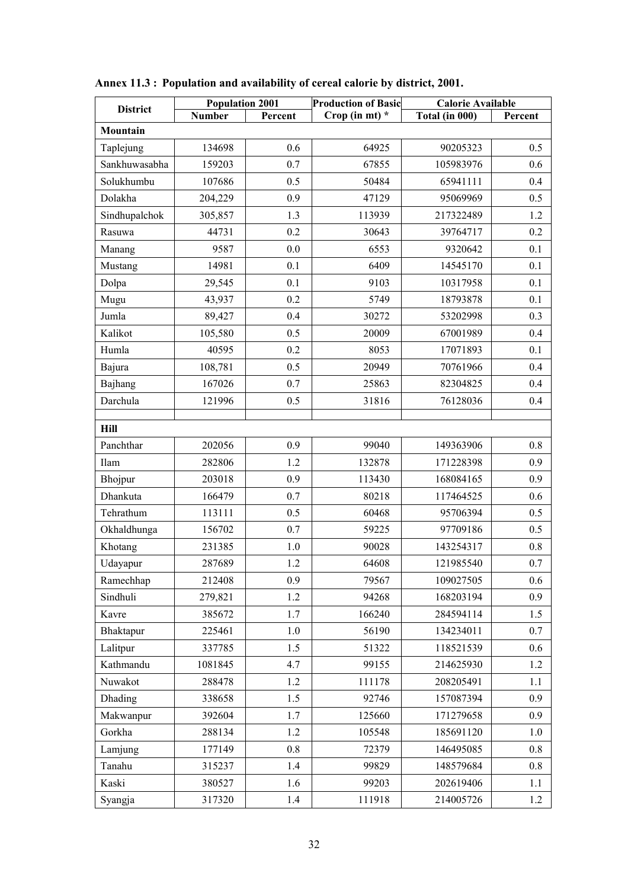| <b>District</b> | <b>Population 2001</b> |         | <b>Production of Basic</b> | <b>Calorie Available</b> |         |  |  |  |  |
|-----------------|------------------------|---------|----------------------------|--------------------------|---------|--|--|--|--|
|                 | <b>Number</b>          | Percent | Crop (in mt) $*$           | Total (in 000)           | Percent |  |  |  |  |
| Mountain        |                        |         |                            |                          |         |  |  |  |  |
| Taplejung       | 134698                 | 0.6     | 64925                      | 90205323                 | 0.5     |  |  |  |  |
| Sankhuwasabha   | 159203                 | 0.7     | 67855                      | 105983976                | 0.6     |  |  |  |  |
| Solukhumbu      | 107686                 | 0.5     | 50484                      | 65941111                 | 0.4     |  |  |  |  |
| Dolakha         | 204,229                | 0.9     | 47129                      | 95069969                 | 0.5     |  |  |  |  |
| Sindhupalchok   | 305,857                | 1.3     | 113939                     | 217322489                | 1.2     |  |  |  |  |
| Rasuwa          | 44731                  | 0.2     | 30643                      | 39764717                 | 0.2     |  |  |  |  |
| Manang          | 9587                   | 0.0     | 6553                       | 9320642                  | 0.1     |  |  |  |  |
| Mustang         | 14981                  | 0.1     | 6409                       | 14545170                 | 0.1     |  |  |  |  |
| Dolpa           | 29,545                 | 0.1     | 9103                       | 10317958                 | 0.1     |  |  |  |  |
| Mugu            | 43,937                 | 0.2     | 5749                       | 18793878                 | 0.1     |  |  |  |  |
| Jumla           | 89,427                 | 0.4     | 30272                      | 53202998                 | 0.3     |  |  |  |  |
| Kalikot         | 105,580                | 0.5     | 20009                      | 67001989                 | 0.4     |  |  |  |  |
| Humla           | 40595                  | 0.2     | 8053                       | 17071893                 | 0.1     |  |  |  |  |
| Bajura          | 108,781                | 0.5     | 20949                      | 70761966                 | 0.4     |  |  |  |  |
| Bajhang         | 167026                 | 0.7     | 25863                      | 82304825                 | 0.4     |  |  |  |  |
| Darchula        | 121996                 | 0.5     | 31816                      | 76128036                 | 0.4     |  |  |  |  |
| Hill            |                        |         |                            |                          |         |  |  |  |  |
| Panchthar       |                        | 0.9     | 99040                      | 149363906                | 0.8     |  |  |  |  |
|                 | 202056                 | 1.2     |                            |                          | 0.9     |  |  |  |  |
| Ilam            | 282806                 |         | 132878                     | 171228398                |         |  |  |  |  |
| Bhojpur         | 203018                 | 0.9     | 113430                     | 168084165                | 0.9     |  |  |  |  |
| Dhankuta        | 166479                 | 0.7     | 80218                      | 117464525                | 0.6     |  |  |  |  |
| Tehrathum       | 113111                 | 0.5     | 60468                      | 95706394                 | 0.5     |  |  |  |  |
| Okhaldhunga     | 156702                 | 0.7     | 59225                      | 97709186                 | 0.5     |  |  |  |  |
| Khotang         | 231385                 | 1.0     | 90028                      | 143254317                | 0.8     |  |  |  |  |
| Udayapur        | 287689                 | 1.2     | 64608                      | 121985540                | 0.7     |  |  |  |  |
| Ramechhap       | 212408                 | 0.9     | 79567                      | 109027505                | 0.6     |  |  |  |  |
| Sindhuli        | 279,821                | 1.2     | 94268                      | 168203194                | 0.9     |  |  |  |  |
| Kavre           | 385672                 | 1.7     | 166240                     | 284594114                | 1.5     |  |  |  |  |
| Bhaktapur       | 225461                 | $1.0\,$ | 56190                      | 134234011                | 0.7     |  |  |  |  |
| Lalitpur        | 337785                 | 1.5     | 51322                      | 118521539                | 0.6     |  |  |  |  |
| Kathmandu       | 1081845                | 4.7     | 99155                      | 214625930                | 1.2     |  |  |  |  |
| Nuwakot         | 288478                 | 1.2     | 111178                     | 208205491                | 1.1     |  |  |  |  |
| Dhading         | 338658                 | 1.5     | 92746                      | 157087394                | 0.9     |  |  |  |  |
| Makwanpur       | 392604                 | 1.7     | 125660                     | 171279658                | 0.9     |  |  |  |  |
| Gorkha          | 288134                 | 1.2     | 105548                     | 185691120                | 1.0     |  |  |  |  |
| Lamjung         | 177149                 | 0.8     | 72379                      | 146495085                | 0.8     |  |  |  |  |
| Tanahu          | 315237                 | 1.4     | 99829                      | 148579684                | 0.8     |  |  |  |  |
| Kaski           | 380527                 | 1.6     | 99203                      | 202619406                | 1.1     |  |  |  |  |
| Syangja         | 317320                 | 1.4     | 111918                     | 214005726                | 1.2     |  |  |  |  |

**Annex 11.3 : Population and availability of cereal calorie by district, 2001.**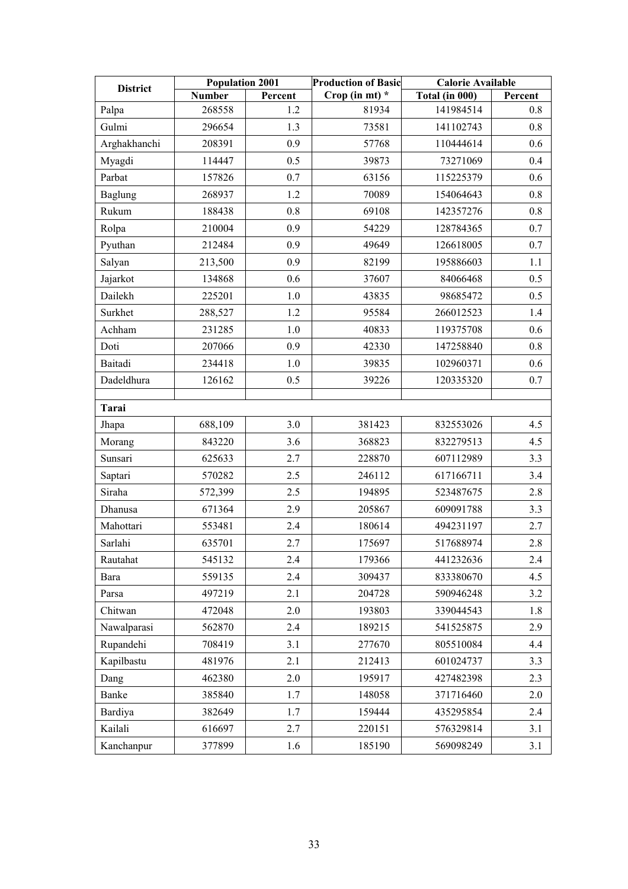| <b>District</b> | <b>Population 2001</b> |         | <b>Production of Basic</b> |                                    | <b>Calorie Available</b> |  |
|-----------------|------------------------|---------|----------------------------|------------------------------------|--------------------------|--|
|                 | <b>Number</b>          | Percent | Crop (in mt) $*$           | $\overline{\text{Total}}$ (in 000) | Percent                  |  |
| Palpa           | 268558                 | 1.2     | 81934                      | 141984514                          | 0.8                      |  |
| Gulmi           | 296654                 | 1.3     | 73581                      | 141102743                          | 0.8                      |  |
| Arghakhanchi    | 208391                 | 0.9     | 57768                      | 110444614                          | 0.6                      |  |
| Myagdi          | 114447                 | 0.5     | 39873                      | 73271069                           | 0.4                      |  |
| Parbat          | 157826                 | 0.7     | 63156                      | 115225379                          | 0.6                      |  |
| Baglung         | 268937                 | 1.2     | 70089                      | 154064643                          | 0.8                      |  |
| Rukum           | 188438                 | 0.8     | 69108                      | 142357276                          | 0.8                      |  |
| Rolpa           | 210004                 | 0.9     | 54229                      | 128784365                          | 0.7                      |  |
| Pyuthan         | 212484                 | 0.9     | 49649                      | 126618005                          | 0.7                      |  |
| Salyan          | 213,500                | 0.9     | 82199                      | 195886603                          | 1.1                      |  |
| Jajarkot        | 134868                 | 0.6     | 37607                      | 84066468                           | 0.5                      |  |
| Dailekh         | 225201                 | 1.0     | 43835                      | 98685472                           | 0.5                      |  |
| Surkhet         | 288,527                | 1.2     | 95584                      | 266012523                          | 1.4                      |  |
| Achham          | 231285                 | 1.0     | 40833                      | 119375708                          | 0.6                      |  |
| Doti            | 207066                 | 0.9     | 42330                      | 147258840                          | 0.8                      |  |
| Baitadi         | 234418                 | 1.0     | 39835                      | 102960371                          | 0.6                      |  |
| Dadeldhura      | 126162                 | 0.5     | 39226                      | 120335320                          | 0.7                      |  |
| Tarai           |                        |         |                            |                                    |                          |  |
| Jhapa           | 688,109                | 3.0     | 381423                     | 832553026                          | 4.5                      |  |
| Morang          | 843220                 | 3.6     | 368823                     | 832279513                          | 4.5                      |  |
| Sunsari         | 625633                 | 2.7     | 228870                     | 607112989                          | 3.3                      |  |
| Saptari         | 570282                 | 2.5     | 246112                     | 617166711                          | 3.4                      |  |
| Siraha          | 572,399                | 2.5     | 194895                     | 523487675                          | 2.8                      |  |
| Dhanusa         | 671364                 | 2.9     | 205867                     | 609091788                          | 3.3                      |  |
| Mahottari       | 553481                 | 2.4     | 180614                     | 494231197                          | 2.7                      |  |
| Sarlahi         | 635701                 | 2.7     | 175697                     | 517688974                          | 2.8                      |  |
| Rautahat        | 545132                 | 2.4     | 179366                     | 441232636                          | 2.4                      |  |
| Bara            | 559135                 | 2.4     | 309437                     | 833380670                          | 4.5                      |  |
| Parsa           | 497219                 | 2.1     | 204728                     | 590946248                          | 3.2                      |  |
| Chitwan         | 472048                 | 2.0     | 193803                     | 339044543                          | 1.8                      |  |
| Nawalparasi     | 562870                 | 2.4     | 189215                     | 541525875                          | 2.9                      |  |
| Rupandehi       | 708419                 | 3.1     | 277670                     | 805510084                          | 4.4                      |  |
| Kapilbastu      | 481976                 | 2.1     | 212413                     | 601024737                          | 3.3                      |  |
| Dang            | 462380                 | 2.0     | 195917                     | 427482398                          | 2.3                      |  |
| Banke           | 385840                 | 1.7     | 148058                     | 371716460                          | 2.0                      |  |
| Bardiya         | 382649                 | 1.7     | 159444                     | 435295854                          | 2.4                      |  |
| Kailali         | 616697                 | 2.7     | 220151                     | 576329814                          | 3.1                      |  |
| Kanchanpur      | 377899                 | 1.6     | 185190                     | 569098249                          | 3.1                      |  |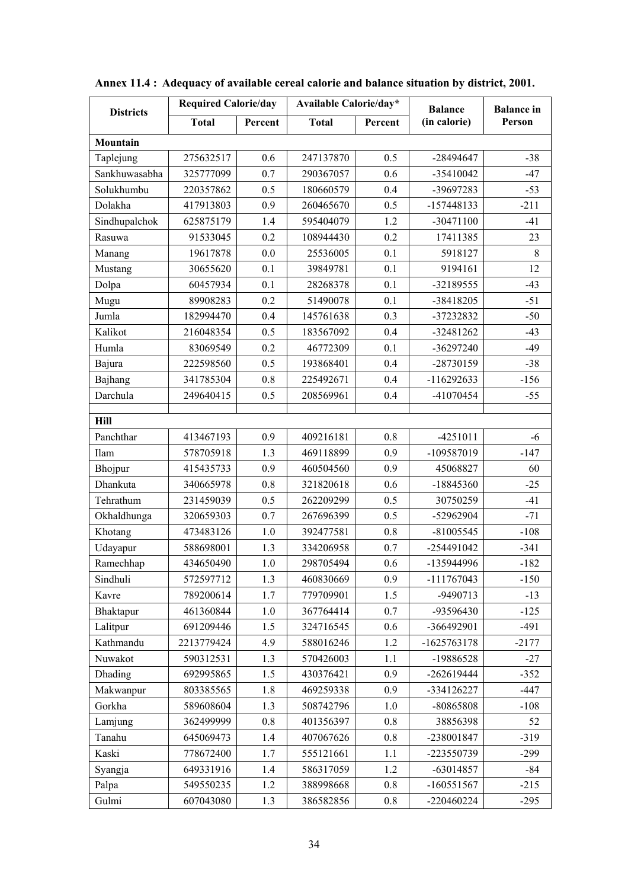| <b>Districts</b> | <b>Required Calorie/day</b> |         | Available Calorie/day* |         | <b>Balance</b> | <b>Balance</b> in |
|------------------|-----------------------------|---------|------------------------|---------|----------------|-------------------|
|                  | <b>Total</b>                | Percent | <b>Total</b>           | Percent | (in calorie)   | Person            |
| Mountain         |                             |         |                        |         |                |                   |
| Taplejung        | 275632517                   | 0.6     | 247137870              | 0.5     | -28494647      | $-38$             |
| Sankhuwasabha    | 325777099                   | 0.7     | 290367057              | 0.6     | $-35410042$    | $-47$             |
| Solukhumbu       | 220357862                   | 0.5     | 180660579              | 0.4     | -39697283      | $-53$             |
| Dolakha          | 417913803                   | 0.9     | 260465670              | 0.5     | -157448133     | $-211$            |
| Sindhupalchok    | 625875179                   | 1.4     | 595404079              | 1.2     | $-30471100$    | $-41$             |
| Rasuwa           | 91533045                    | 0.2     | 108944430              | 0.2     | 17411385       | 23                |
| Manang           | 19617878                    | 0.0     | 25536005               | 0.1     | 5918127        | 8                 |
| Mustang          | 30655620                    | 0.1     | 39849781               | 0.1     | 9194161        | 12                |
| Dolpa            | 60457934                    | 0.1     | 28268378               | 0.1     | -32189555      | $-43$             |
| Mugu             | 89908283                    | 0.2     | 51490078               | 0.1     | -38418205      | $-51$             |
| Jumla            | 182994470                   | 0.4     | 145761638              | 0.3     | -37232832      | $-50$             |
| Kalikot          | 216048354                   | 0.5     | 183567092              | 0.4     | $-32481262$    | $-43$             |
| Humla            | 83069549                    | 0.2     | 46772309               | 0.1     | -36297240      | $-49$             |
| Bajura           | 222598560                   | 0.5     | 193868401              | 0.4     | -28730159      | $-38$             |
| Bajhang          | 341785304                   | 0.8     | 225492671              | 0.4     | $-116292633$   | $-156$            |
| Darchula         | 249640415                   | 0.5     | 208569961              | 0.4     | -41070454      | $-55$             |
| Hill             |                             |         |                        |         |                |                   |
| Panchthar        | 413467193                   | 0.9     | 409216181              | 0.8     | $-4251011$     | $-6$              |
| Ilam             | 578705918                   | 1.3     | 469118899              | 0.9     | -109587019     | $-147$            |
| Bhojpur          | 415435733                   | 0.9     | 460504560              | 0.9     | 45068827       | 60                |
| Dhankuta         | 340665978                   | 0.8     | 321820618              | 0.6     | -18845360      | $-25$             |
| Tehrathum        | 231459039                   | 0.5     | 262209299              | 0.5     | 30750259       | $-41$             |
| Okhaldhunga      | 320659303                   | 0.7     | 267696399              | 0.5     | -52962904      | $-71$             |
| Khotang          | 473483126                   | 1.0     | 392477581              | 0.8     | $-81005545$    | $-108$            |
| Udayapur         | 588698001                   | 1.3     | 334206958              | 0.7     | -254491042     | $-341$            |
| Ramechhap        | 434650490                   | $1.0$   | 298705494              | 0.6     | -135944996     | $-182$            |
| Sindhuli         | 572597712                   | 1.3     | 460830669              | 0.9     | -111767043     | $-150$            |
| Kavre            | 789200614                   | 1.7     | 779709901              | 1.5     | -9490713       | $-13$             |
| Bhaktapur        | 461360844                   | 1.0     | 367764414              | 0.7     | -93596430      | $-125$            |
| Lalitpur         | 691209446                   | 1.5     | 324716545              | 0.6     | -366492901     | $-491$            |
| Kathmandu        | 2213779424                  | 4.9     | 588016246              | 1.2     | -1625763178    | $-2177$           |
| Nuwakot          | 590312531                   | 1.3     | 570426003              | 1.1     | -19886528      | $-27$             |
| Dhading          | 692995865                   | 1.5     | 430376421              | 0.9     | -262619444     | $-352$            |
| Makwanpur        | 803385565                   | 1.8     | 469259338              | 0.9     | -334126227     | $-447$            |
| Gorkha           | 589608604                   | 1.3     | 508742796              | 1.0     | -80865808      | $-108$            |
| Lamjung          | 362499999                   | $0.8\,$ | 401356397              | 0.8     | 38856398       | 52                |
| Tanahu           | 645069473                   | 1.4     | 407067626              | 0.8     | -238001847     | $-319$            |
| Kaski            | 778672400                   | 1.7     | 555121661              | 1.1     | -223550739     | $-299$            |
| Syangja          | 649331916                   | 1.4     | 586317059              | 1.2     | -63014857      | $-84$             |
| Palpa            | 549550235                   | 1.2     | 388998668              | 0.8     | $-160551567$   | $-215$            |
| Gulmi            | 607043080                   | 1.3     | 386582856              | 0.8     | $-220460224$   | $-295$            |

**Annex 11.4 : Adequacy of available cereal calorie and balance situation by district, 2001.**